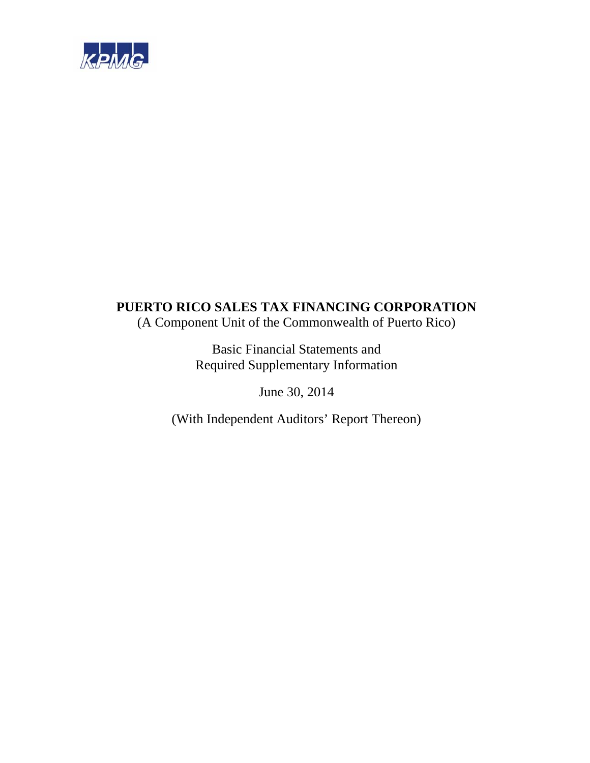

## **PUERTO RICO SALES TAX FINANCING CORPORATION**  (A Component Unit of the Commonwealth of Puerto Rico)

Basic Financial Statements and Required Supplementary Information

June 30, 2014

(With Independent Auditors' Report Thereon)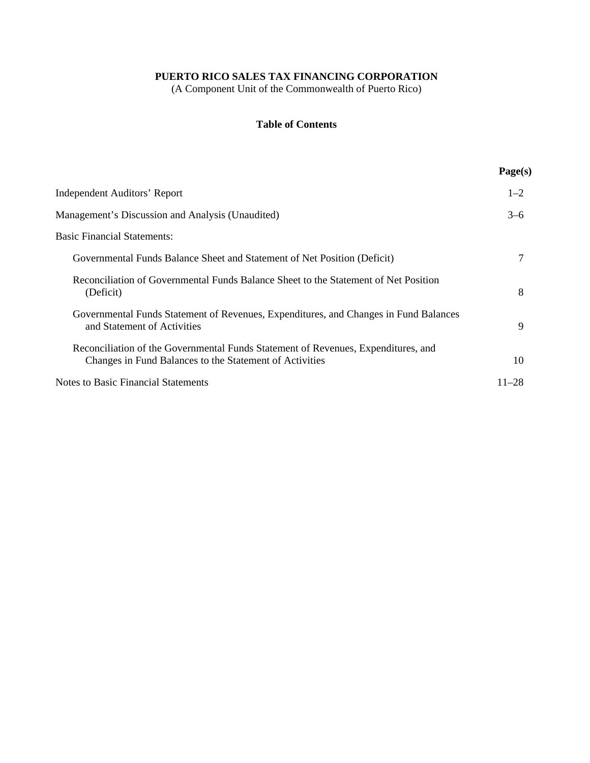(A Component Unit of the Commonwealth of Puerto Rico)

### **Table of Contents**

|                                                                                                                                              | Page(s)   |
|----------------------------------------------------------------------------------------------------------------------------------------------|-----------|
| <b>Independent Auditors' Report</b>                                                                                                          | $1 - 2$   |
| Management's Discussion and Analysis (Unaudited)                                                                                             | $3-6$     |
| <b>Basic Financial Statements:</b>                                                                                                           |           |
| Governmental Funds Balance Sheet and Statement of Net Position (Deficit)                                                                     | 7         |
| Reconciliation of Governmental Funds Balance Sheet to the Statement of Net Position<br>(Deficit)                                             | 8         |
| Governmental Funds Statement of Revenues, Expenditures, and Changes in Fund Balances<br>and Statement of Activities                          | 9         |
| Reconciliation of the Governmental Funds Statement of Revenues, Expenditures, and<br>Changes in Fund Balances to the Statement of Activities | 10        |
| Notes to Basic Financial Statements                                                                                                          | $11 - 28$ |
|                                                                                                                                              |           |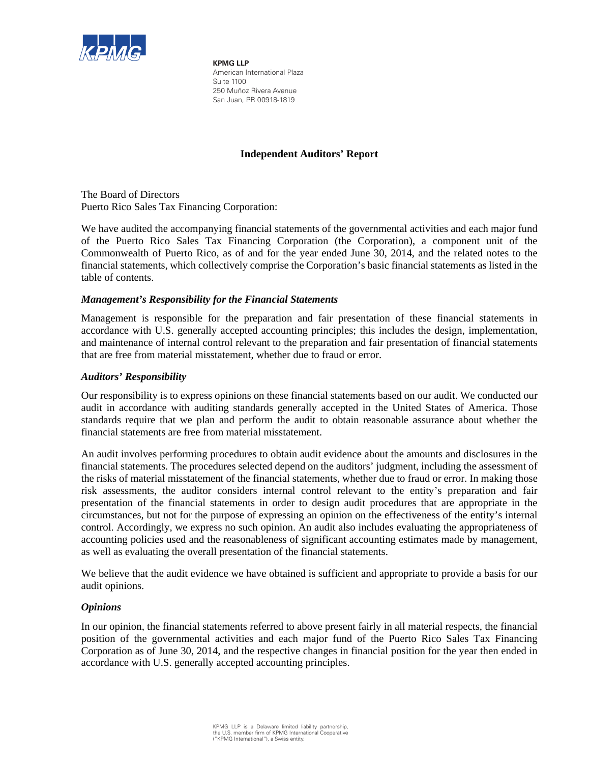

**KPMG LLP** American International Plaza Suite 1100 250 Muñoz Rivera Avenue San Juan, PR 00918-1819

### **Independent Auditors' Report**

The Board of Directors Puerto Rico Sales Tax Financing Corporation:

We have audited the accompanying financial statements of the governmental activities and each major fund of the Puerto Rico Sales Tax Financing Corporation (the Corporation), a component unit of the Commonwealth of Puerto Rico, as of and for the year ended June 30, 2014, and the related notes to the financial statements, which collectively comprise the Corporation's basic financial statements as listed in the table of contents.

#### *Management's Responsibility for the Financial Statements*

Management is responsible for the preparation and fair presentation of these financial statements in accordance with U.S. generally accepted accounting principles; this includes the design, implementation, and maintenance of internal control relevant to the preparation and fair presentation of financial statements that are free from material misstatement, whether due to fraud or error.

#### *Auditors' Responsibility*

Our responsibility is to express opinions on these financial statements based on our audit. We conducted our audit in accordance with auditing standards generally accepted in the United States of America. Those standards require that we plan and perform the audit to obtain reasonable assurance about whether the financial statements are free from material misstatement.

An audit involves performing procedures to obtain audit evidence about the amounts and disclosures in the financial statements. The procedures selected depend on the auditors' judgment, including the assessment of the risks of material misstatement of the financial statements, whether due to fraud or error. In making those risk assessments, the auditor considers internal control relevant to the entity's preparation and fair presentation of the financial statements in order to design audit procedures that are appropriate in the circumstances, but not for the purpose of expressing an opinion on the effectiveness of the entity's internal control. Accordingly, we express no such opinion. An audit also includes evaluating the appropriateness of accounting policies used and the reasonableness of significant accounting estimates made by management, as well as evaluating the overall presentation of the financial statements.

We believe that the audit evidence we have obtained is sufficient and appropriate to provide a basis for our audit opinions.

#### *Opinions*

In our opinion, the financial statements referred to above present fairly in all material respects, the financial position of the governmental activities and each major fund of the Puerto Rico Sales Tax Financing Corporation as of June 30, 2014, and the respective changes in financial position for the year then ended in accordance with U.S. generally accepted accounting principles.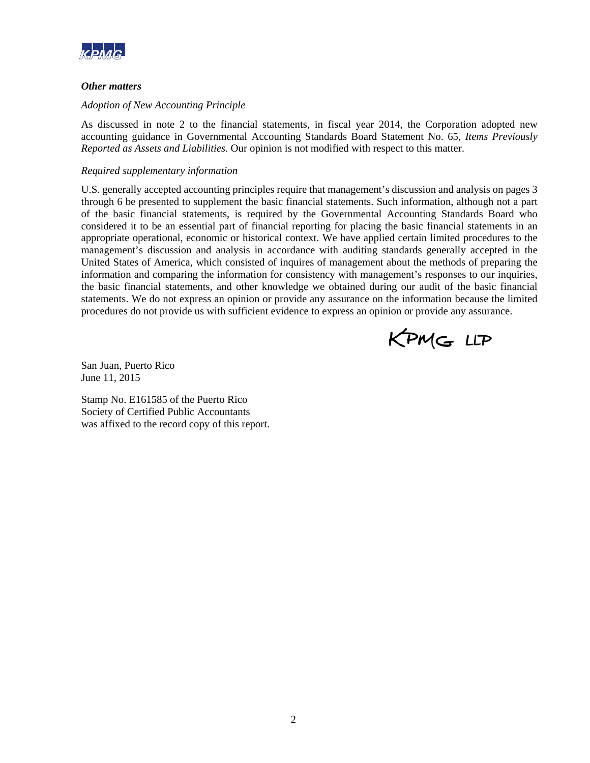

#### *Other matters*

#### *Adoption of New Accounting Principle*

As discussed in note 2 to the financial statements, in fiscal year 2014, the Corporation adopted new accounting guidance in Governmental Accounting Standards Board Statement No. 65, *Items Previously Reported as Assets and Liabilities*. Our opinion is not modified with respect to this matter.

#### *Required supplementary information*

U.S. generally accepted accounting principles require that management's discussion and analysis on pages 3 through 6 be presented to supplement the basic financial statements. Such information, although not a part of the basic financial statements, is required by the Governmental Accounting Standards Board who considered it to be an essential part of financial reporting for placing the basic financial statements in an appropriate operational, economic or historical context. We have applied certain limited procedures to the management's discussion and analysis in accordance with auditing standards generally accepted in the United States of America, which consisted of inquires of management about the methods of preparing the information and comparing the information for consistency with management's responses to our inquiries, the basic financial statements, and other knowledge we obtained during our audit of the basic financial statements. We do not express an opinion or provide any assurance on the information because the limited procedures do not provide us with sufficient evidence to express an opinion or provide any assurance.



San Juan, Puerto Rico June 11, 2015

Stamp No. E161585 of the Puerto Rico Society of Certified Public Accountants was affixed to the record copy of this report.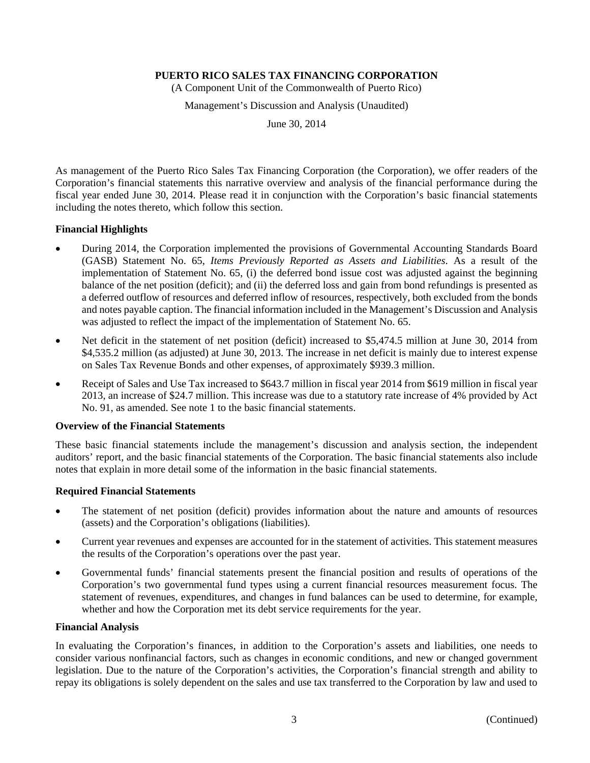(A Component Unit of the Commonwealth of Puerto Rico)

Management's Discussion and Analysis (Unaudited)

June 30, 2014

As management of the Puerto Rico Sales Tax Financing Corporation (the Corporation), we offer readers of the Corporation's financial statements this narrative overview and analysis of the financial performance during the fiscal year ended June 30, 2014. Please read it in conjunction with the Corporation's basic financial statements including the notes thereto, which follow this section.

#### **Financial Highlights**

- During 2014, the Corporation implemented the provisions of Governmental Accounting Standards Board (GASB) Statement No. 65, *Items Previously Reported as Assets and Liabilities*. As a result of the implementation of Statement No. 65, (i) the deferred bond issue cost was adjusted against the beginning balance of the net position (deficit); and (ii) the deferred loss and gain from bond refundings is presented as a deferred outflow of resources and deferred inflow of resources, respectively, both excluded from the bonds and notes payable caption. The financial information included in the Management's Discussion and Analysis was adjusted to reflect the impact of the implementation of Statement No. 65.
- Net deficit in the statement of net position (deficit) increased to \$5,474.5 million at June 30, 2014 from \$4,535.2 million (as adjusted) at June 30, 2013. The increase in net deficit is mainly due to interest expense on Sales Tax Revenue Bonds and other expenses, of approximately \$939.3 million.
- Receipt of Sales and Use Tax increased to \$643.7 million in fiscal year 2014 from \$619 million in fiscal year 2013, an increase of \$24.7 million. This increase was due to a statutory rate increase of 4% provided by Act No. 91, as amended. See note 1 to the basic financial statements.

#### **Overview of the Financial Statements**

These basic financial statements include the management's discussion and analysis section, the independent auditors' report, and the basic financial statements of the Corporation. The basic financial statements also include notes that explain in more detail some of the information in the basic financial statements.

#### **Required Financial Statements**

- The statement of net position (deficit) provides information about the nature and amounts of resources (assets) and the Corporation's obligations (liabilities).
- Current year revenues and expenses are accounted for in the statement of activities. This statement measures the results of the Corporation's operations over the past year.
- Governmental funds' financial statements present the financial position and results of operations of the Corporation's two governmental fund types using a current financial resources measurement focus. The statement of revenues, expenditures, and changes in fund balances can be used to determine, for example, whether and how the Corporation met its debt service requirements for the year.

#### **Financial Analysis**

In evaluating the Corporation's finances, in addition to the Corporation's assets and liabilities, one needs to consider various nonfinancial factors, such as changes in economic conditions, and new or changed government legislation. Due to the nature of the Corporation's activities, the Corporation's financial strength and ability to repay its obligations is solely dependent on the sales and use tax transferred to the Corporation by law and used to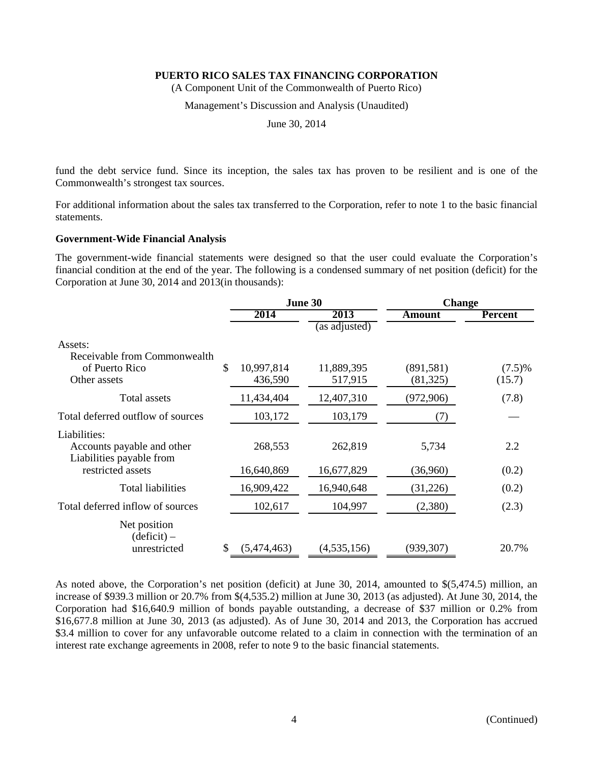(A Component Unit of the Commonwealth of Puerto Rico)

#### Management's Discussion and Analysis (Unaudited)

June 30, 2014

fund the debt service fund. Since its inception, the sales tax has proven to be resilient and is one of the Commonwealth's strongest tax sources.

For additional information about the sales tax transferred to the Corporation, refer to note 1 to the basic financial statements.

#### **Government-Wide Financial Analysis**

The government-wide financial statements were designed so that the user could evaluate the Corporation's financial condition at the end of the year. The following is a condensed summary of net position (deficit) for the Corporation at June 30, 2014 and 2013(in thousands):

|                                                                                 | June 30               |                                        |                         | <b>Change</b>       |  |
|---------------------------------------------------------------------------------|-----------------------|----------------------------------------|-------------------------|---------------------|--|
|                                                                                 | 2014                  | 2013                                   | Amount                  | <b>Percent</b>      |  |
| Assets:<br>Receivable from Commonwealth<br>\$<br>of Puerto Rico<br>Other assets | 10,997,814<br>436,590 | (as adjusted)<br>11,889,395<br>517,915 | (891, 581)<br>(81, 325) | $(7.5)\%$<br>(15.7) |  |
| Total assets                                                                    | 11,434,404            | 12,407,310                             | (972, 906)              | (7.8)               |  |
| Total deferred outflow of sources                                               | 103,172               | 103,179                                | (7)                     |                     |  |
| Liabilities:<br>Accounts payable and other<br>Liabilities payable from          | 268,553               | 262,819                                | 5,734                   | 2.2                 |  |
| restricted assets                                                               | 16,640,869            | 16,677,829                             | (36,960)                | (0.2)               |  |
| <b>Total liabilities</b>                                                        | 16,909,422            | 16,940,648                             | (31,226)                | (0.2)               |  |
| Total deferred inflow of sources                                                | 102,617               | 104,997                                | (2,380)                 | (2.3)               |  |
| Net position<br>$(deticit)$ –<br>\$<br>unrestricted                             | (5,474,463)           | (4, 535, 156)                          | (939, 307)              | 20.7%               |  |

As noted above, the Corporation's net position (deficit) at June 30, 2014, amounted to \$(5,474.5) million, an increase of \$939.3 million or 20.7% from \$(4,535.2) million at June 30, 2013 (as adjusted). At June 30, 2014, the Corporation had \$16,640.9 million of bonds payable outstanding, a decrease of \$37 million or 0.2% from \$16,677.8 million at June 30, 2013 (as adjusted). As of June 30, 2014 and 2013, the Corporation has accrued \$3.4 million to cover for any unfavorable outcome related to a claim in connection with the termination of an interest rate exchange agreements in 2008, refer to note 9 to the basic financial statements.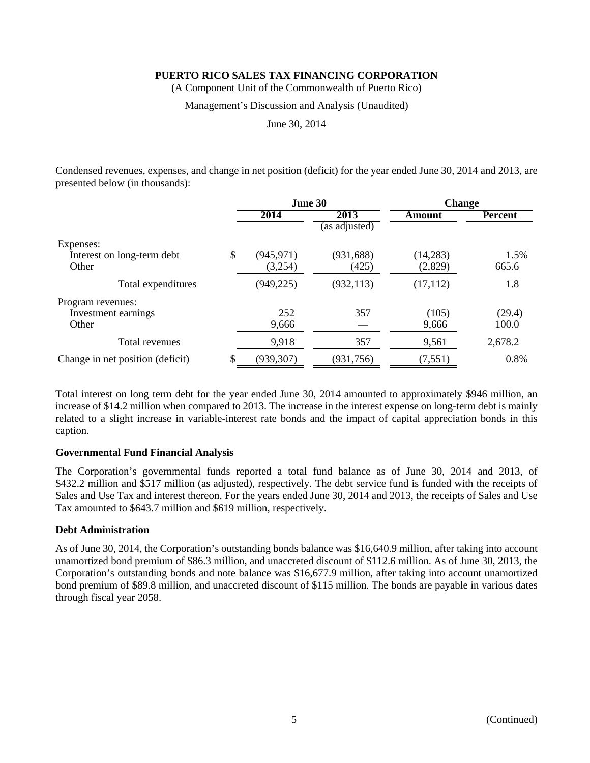(A Component Unit of the Commonwealth of Puerto Rico)

#### Management's Discussion and Analysis (Unaudited)

June 30, 2014

Condensed revenues, expenses, and change in net position (deficit) for the year ended June 30, 2014 and 2013, are presented below (in thousands):

|                                  | June 30          |               | <b>Change</b> |                |
|----------------------------------|------------------|---------------|---------------|----------------|
|                                  | 2014             | 2013          | Amount        | <b>Percent</b> |
|                                  |                  | (as adjusted) |               |                |
| Expenses:                        |                  |               |               |                |
| Interest on long-term debt       | \$<br>(945, 971) | (931, 688)    | (14, 283)     | 1.5%           |
| Other                            | (3,254)          | (425)         | (2,829)       | 665.6          |
| Total expenditures               | (949, 225)       | (932, 113)    | (17, 112)     | 1.8            |
| Program revenues:                |                  |               |               |                |
| Investment earnings              | 252              | 357           | (105)         | (29.4)         |
| Other                            | 9,666            |               | 9,666         | 100.0          |
| Total revenues                   | 9,918            | 357           | 9,561         | 2,678.2        |
| Change in net position (deficit) | (939, 307)       | (931, 756)    | (7, 551)      | 0.8%           |

Total interest on long term debt for the year ended June 30, 2014 amounted to approximately \$946 million, an increase of \$14.2 million when compared to 2013. The increase in the interest expense on long-term debt is mainly related to a slight increase in variable-interest rate bonds and the impact of capital appreciation bonds in this caption.

#### **Governmental Fund Financial Analysis**

The Corporation's governmental funds reported a total fund balance as of June 30, 2014 and 2013, of \$432.2 million and \$517 million (as adjusted), respectively. The debt service fund is funded with the receipts of Sales and Use Tax and interest thereon. For the years ended June 30, 2014 and 2013, the receipts of Sales and Use Tax amounted to \$643.7 million and \$619 million, respectively.

#### **Debt Administration**

As of June 30, 2014, the Corporation's outstanding bonds balance was \$16,640.9 million, after taking into account unamortized bond premium of \$86.3 million, and unaccreted discount of \$112.6 million. As of June 30, 2013, the Corporation's outstanding bonds and note balance was \$16,677.9 million, after taking into account unamortized bond premium of \$89.8 million, and unaccreted discount of \$115 million. The bonds are payable in various dates through fiscal year 2058.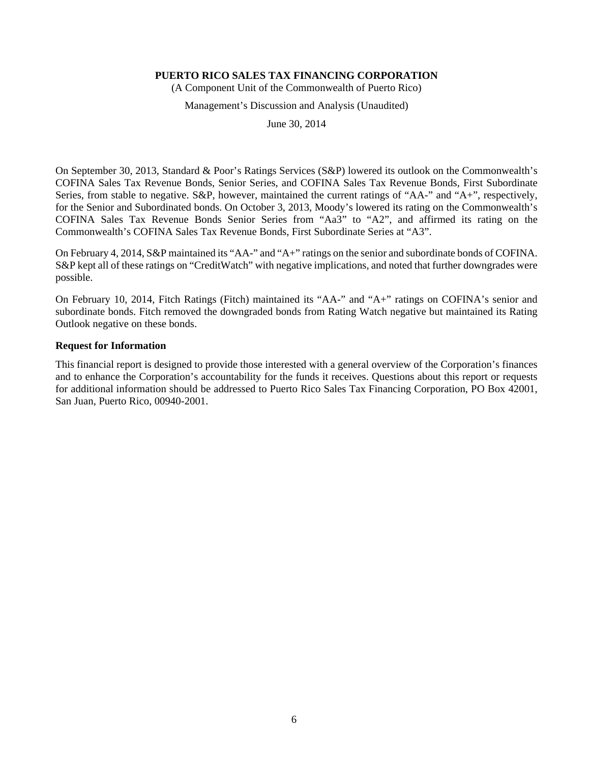(A Component Unit of the Commonwealth of Puerto Rico)

#### Management's Discussion and Analysis (Unaudited)

June 30, 2014

On September 30, 2013, Standard & Poor's Ratings Services (S&P) lowered its outlook on the Commonwealth's COFINA Sales Tax Revenue Bonds, Senior Series, and COFINA Sales Tax Revenue Bonds, First Subordinate Series, from stable to negative. S&P, however, maintained the current ratings of "AA-" and "A+", respectively, for the Senior and Subordinated bonds. On October 3, 2013, Moody's lowered its rating on the Commonwealth's COFINA Sales Tax Revenue Bonds Senior Series from "Aa3" to "A2", and affirmed its rating on the Commonwealth's COFINA Sales Tax Revenue Bonds, First Subordinate Series at "A3".

On February 4, 2014, S&P maintained its "AA-" and "A+" ratings on the senior and subordinate bonds of COFINA. S&P kept all of these ratings on "CreditWatch" with negative implications, and noted that further downgrades were possible.

On February 10, 2014, Fitch Ratings (Fitch) maintained its "AA-" and "A+" ratings on COFINA's senior and subordinate bonds. Fitch removed the downgraded bonds from Rating Watch negative but maintained its Rating Outlook negative on these bonds.

#### **Request for Information**

This financial report is designed to provide those interested with a general overview of the Corporation's finances and to enhance the Corporation's accountability for the funds it receives. Questions about this report or requests for additional information should be addressed to Puerto Rico Sales Tax Financing Corporation, PO Box 42001, San Juan, Puerto Rico, 00940-2001.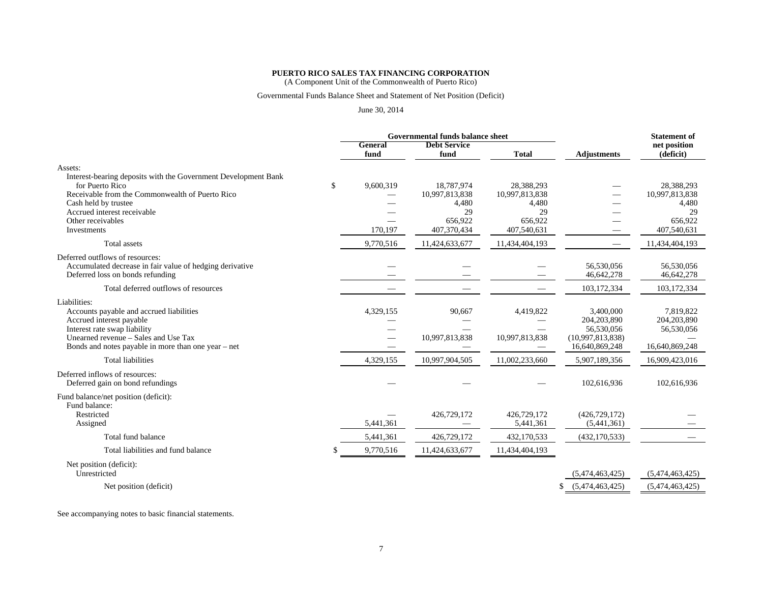(A Component Unit of the Commonwealth of Puerto Rico)

#### Governmental Funds Balance Sheet and Statement of Net Position (Deficit)

#### June 30, 2014

|                                                                                                                                 | Governmental funds balance sheet |                             |                |                            | <b>Statement of</b>       |
|---------------------------------------------------------------------------------------------------------------------------------|----------------------------------|-----------------------------|----------------|----------------------------|---------------------------|
|                                                                                                                                 | <b>General</b><br>fund           | <b>Debt Service</b><br>fund | <b>Total</b>   | <b>Adjustments</b>         | net position<br>(deficit) |
| Assets:                                                                                                                         |                                  |                             |                |                            |                           |
| Interest-bearing deposits with the Government Development Bank<br>for Puerto Rico                                               | \$<br>9,600,319                  | 18,787,974                  | 28.388.293     |                            | 28,388,293                |
| Receivable from the Commonwealth of Puerto Rico                                                                                 |                                  | 10,997,813,838              | 10,997,813,838 |                            | 10,997,813,838            |
| Cash held by trustee                                                                                                            |                                  | 4,480                       | 4,480          |                            | 4,480                     |
| Accrued interest receivable                                                                                                     |                                  | 29                          | 29             |                            | 29                        |
| Other receivables                                                                                                               |                                  | 656,922                     | 656,922        |                            | 656,922                   |
| Investments                                                                                                                     | 170,197                          | 407,370,434                 | 407,540,631    |                            | 407,540,631               |
| Total assets                                                                                                                    | 9,770,516                        | 11,424,633,677              | 11,434,404,193 |                            | 11,434,404,193            |
| Deferred outflows of resources:<br>Accumulated decrease in fair value of hedging derivative<br>Deferred loss on bonds refunding |                                  |                             |                | 56,530,056<br>46,642,278   | 56,530,056<br>46,642,278  |
| Total deferred outflows of resources                                                                                            |                                  |                             |                | 103,172,334                | 103,172,334               |
|                                                                                                                                 |                                  |                             |                |                            |                           |
| Liabilities:<br>Accounts payable and accrued liabilities<br>Accrued interest payable                                            | 4,329,155                        | 90,667                      | 4,419,822      | 3,400,000<br>204, 203, 890 | 7,819,822<br>204,203,890  |
| Interest rate swap liability                                                                                                    |                                  |                             |                | 56,530,056                 | 56,530,056                |
| Unearned revenue - Sales and Use Tax                                                                                            |                                  | 10,997,813,838              | 10,997,813,838 | (10,997,813,838)           |                           |
| Bonds and notes payable in more than one year $-$ net                                                                           |                                  |                             |                | 16,640,869,248             | 16,640,869,248            |
| <b>Total liabilities</b>                                                                                                        | 4,329,155                        | 10,997,904,505              | 11,002,233,660 | 5,907,189,356              | 16,909,423,016            |
| Deferred inflows of resources:<br>Deferred gain on bond refundings                                                              |                                  |                             |                | 102,616,936                | 102,616,936               |
| Fund balance/net position (deficit):<br>Fund balance:                                                                           |                                  |                             |                |                            |                           |
| Restricted                                                                                                                      |                                  | 426,729,172                 | 426,729,172    | (426, 729, 172)            |                           |
| Assigned                                                                                                                        | 5,441,361                        |                             | 5,441,361      | (5,441,361)                |                           |
| Total fund balance                                                                                                              | 5,441,361                        | 426,729,172                 | 432,170,533    | (432, 170, 533)            |                           |
| Total liabilities and fund balance                                                                                              | 9,770,516                        | 11,424,633,677              | 11,434,404,193 |                            |                           |
| Net position (deficit):<br>Unrestricted                                                                                         |                                  |                             |                | (5,474,463,425)            | (5,474,463,425)           |
|                                                                                                                                 |                                  |                             |                |                            |                           |
| Net position (deficit)                                                                                                          |                                  |                             |                | (5,474,463,425)<br>S       | (5,474,463,425)           |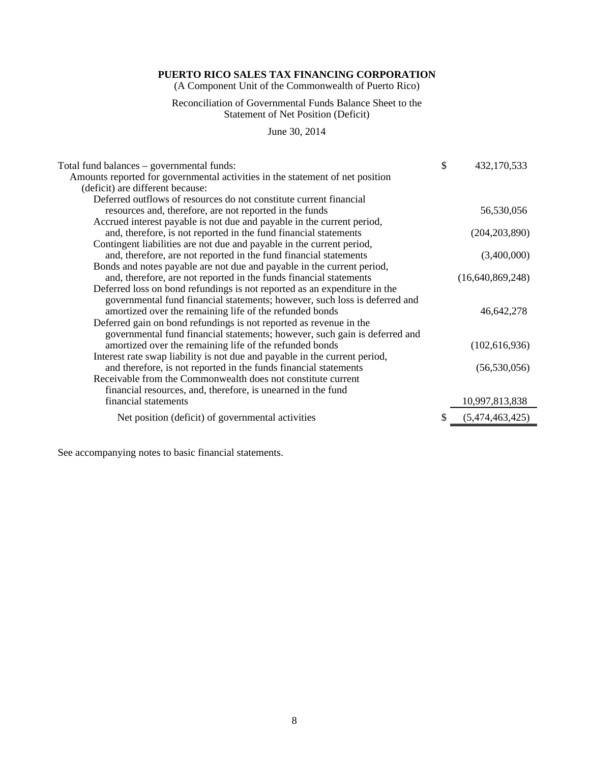(A Component Unit of the Commonwealth of Puerto Rico)

#### Reconciliation of Governmental Funds Balance Sheet to the Statement of Net Position (Deficit)

June 30, 2014

| Total fund balances – governmental funds:                                     | \$<br>432,170,533     |
|-------------------------------------------------------------------------------|-----------------------|
| Amounts reported for governmental activities in the statement of net position |                       |
| (deficit) are different because:                                              |                       |
| Deferred outflows of resources do not constitute current financial            |                       |
| resources and, therefore, are not reported in the funds                       | 56,530,056            |
| Accrued interest payable is not due and payable in the current period,        |                       |
| and, therefore, is not reported in the fund financial statements              | (204, 203, 890)       |
| Contingent liabilities are not due and payable in the current period,         |                       |
| and, therefore, are not reported in the fund financial statements             | (3,400,000)           |
| Bonds and notes payable are not due and payable in the current period,        |                       |
| and, therefore, are not reported in the funds financial statements            | (16,640,869,248)      |
| Deferred loss on bond refundings is not reported as an expenditure in the     |                       |
| governmental fund financial statements; however, such loss is deferred and    |                       |
| amortized over the remaining life of the refunded bonds                       | 46,642,278            |
| Deferred gain on bond refundings is not reported as revenue in the            |                       |
| governmental fund financial statements; however, such gain is deferred and    |                       |
| amortized over the remaining life of the refunded bonds                       | (102, 616, 936)       |
| Interest rate swap liability is not due and payable in the current period,    |                       |
| and therefore, is not reported in the funds financial statements              | (56, 530, 056)        |
| Receivable from the Commonwealth does not constitute current                  |                       |
| financial resources, and, therefore, is unearned in the fund                  |                       |
| financial statements                                                          | 10,997,813,838        |
| Net position (deficit) of governmental activities                             | \$<br>(5,474,463,425) |
|                                                                               |                       |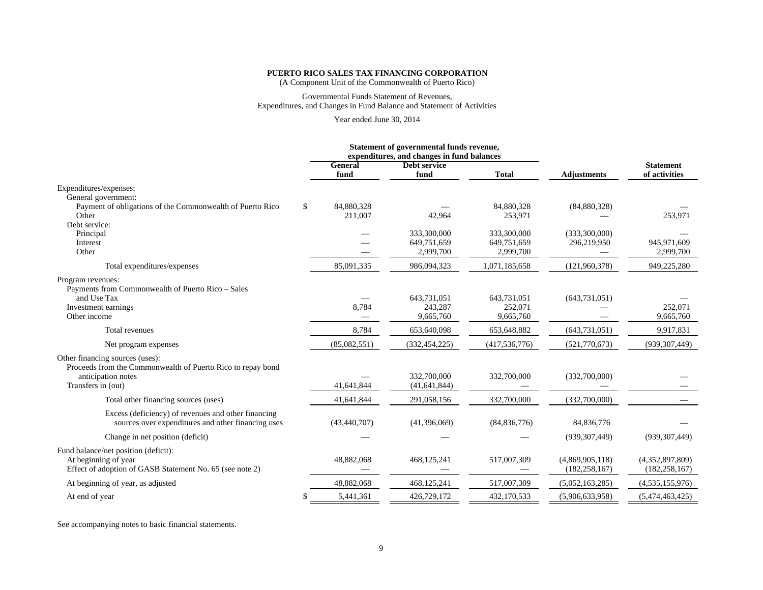# **PUERTO RICO SALES TAX FINANCING CORPORATION** (A Component Unit of the Commonwealth of Puerto Rico)

#### Governmental Funds Statement of Revenues, Expenditures, and Changes in Fund Balance and Statement of Activities

Year ended June 30, 2014

|                                                                                                                                            |    |                       | Statement of governmental funds revenue,<br>expenditures, and changes in fund balances |                                         |                                    |                                    |
|--------------------------------------------------------------------------------------------------------------------------------------------|----|-----------------------|----------------------------------------------------------------------------------------|-----------------------------------------|------------------------------------|------------------------------------|
|                                                                                                                                            |    | General<br>fund       | Debt service<br>fund                                                                   | <b>Total</b>                            | <b>Adjustments</b>                 | <b>Statement</b><br>of activities  |
| Expenditures/expenses:<br>General government:                                                                                              |    |                       |                                                                                        |                                         |                                    |                                    |
| Payment of obligations of the Commonwealth of Puerto Rico<br>Other                                                                         | \$ | 84,880,328<br>211,007 | 42,964                                                                                 | 84,880,328<br>253,971                   | (84,880,328)                       | 253,971                            |
| Debt service:<br>Principal<br>Interest<br>Other                                                                                            |    |                       | 333,300,000<br>649.751.659<br>2,999,700                                                | 333,300,000<br>649,751,659<br>2,999,700 | (333,300,000)<br>296,219,950       | 945.971.609<br>2,999,700           |
| Total expenditures/expenses                                                                                                                |    | 85,091,335            | 986,094,323                                                                            | 1,071,185,658                           | (121,960,378)                      | 949,225,280                        |
| Program revenues:<br>Payments from Commonwealth of Puerto Rico - Sales<br>and Use Tax<br>Investment earnings<br>Other income               |    | 8,784                 | 643,731,051<br>243,287<br>9,665,760                                                    | 643,731,051<br>252,071<br>9,665,760     | (643, 731, 051)                    | 252,071<br>9,665,760               |
| Total revenues                                                                                                                             |    | 8,784                 | 653,640,098                                                                            | 653,648,882                             | (643, 731, 051)                    | 9,917,831                          |
| Net program expenses                                                                                                                       |    | (85,082,551)          | (332, 454, 225)                                                                        | (417, 536, 776)                         | (521,770,673)                      | (939, 307, 449)                    |
| Other financing sources (uses):<br>Proceeds from the Commonwealth of Puerto Rico to repay bond<br>anticipation notes<br>Transfers in (out) |    | 41,641,844            | 332,700,000<br>(41, 641, 844)                                                          | 332,700,000                             | (332,700,000)                      |                                    |
| Total other financing sources (uses)                                                                                                       |    | 41,641,844            | 291,058,156                                                                            | 332,700,000                             | (332,700,000)                      |                                    |
| Excess (deficiency) of revenues and other financing<br>sources over expenditures and other financing uses                                  |    | (43, 440, 707)        | (41,396,069)                                                                           | (84, 836, 776)                          | 84,836,776                         |                                    |
| Change in net position (deficit)                                                                                                           |    |                       |                                                                                        |                                         | (939, 307, 449)                    | (939, 307, 449)                    |
| Fund balance/net position (deficit):<br>At beginning of year<br>Effect of adoption of GASB Statement No. 65 (see note 2)                   |    | 48,882,068            | 468,125,241                                                                            | 517,007,309                             | (4,869,905,118)<br>(182, 258, 167) | (4,352,897,809)<br>(182, 258, 167) |
| At beginning of year, as adjusted                                                                                                          |    | 48,882,068            | 468,125,241                                                                            | 517,007,309                             | (5,052,163,285)                    | (4,535,155,976)                    |
| At end of year                                                                                                                             | S  | 5,441,361             | 426,729,172                                                                            | 432,170,533                             | (5,906,633,958)                    | (5,474,463,425)                    |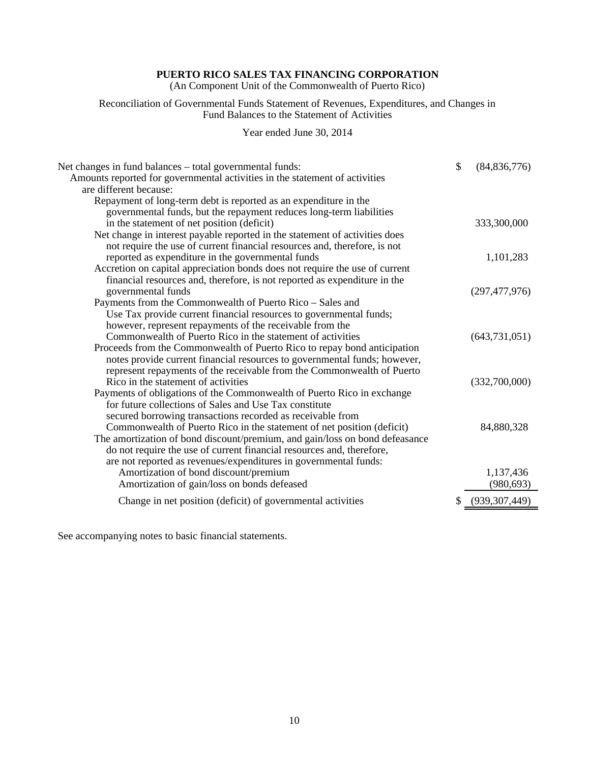(An Component Unit of the Commonwealth of Puerto Rico)

Reconciliation of Governmental Funds Statement of Revenues, Expenditures, and Changes in Fund Balances to the Statement of Activities

Year ended June 30, 2014

| Net changes in fund balances – total governmental funds:<br>Amounts reported for governmental activities in the statement of activities | $\mathcal{S}$ | (84, 836, 776)     |
|-----------------------------------------------------------------------------------------------------------------------------------------|---------------|--------------------|
| are different because:                                                                                                                  |               |                    |
| Repayment of long-term debt is reported as an expenditure in the                                                                        |               |                    |
| governmental funds, but the repayment reduces long-term liabilities                                                                     |               |                    |
| in the statement of net position (deficit)                                                                                              |               | 333,300,000        |
| Net change in interest payable reported in the statement of activities does                                                             |               |                    |
| not require the use of current financial resources and, therefore, is not                                                               |               |                    |
| reported as expenditure in the governmental funds                                                                                       |               | 1,101,283          |
| Accretion on capital appreciation bonds does not require the use of current                                                             |               |                    |
| financial resources and, therefore, is not reported as expenditure in the                                                               |               |                    |
| governmental funds                                                                                                                      |               | (297, 477, 976)    |
| Payments from the Commonwealth of Puerto Rico - Sales and                                                                               |               |                    |
| Use Tax provide current financial resources to governmental funds;                                                                      |               |                    |
| however, represent repayments of the receivable from the                                                                                |               |                    |
| Commonwealth of Puerto Rico in the statement of activities                                                                              |               | (643, 731, 051)    |
| Proceeds from the Commonwealth of Puerto Rico to repay bond anticipation                                                                |               |                    |
| notes provide current financial resources to governmental funds; however,                                                               |               |                    |
| represent repayments of the receivable from the Commonwealth of Puerto                                                                  |               |                    |
| Rico in the statement of activities                                                                                                     |               | (332,700,000)      |
| Payments of obligations of the Commonwealth of Puerto Rico in exchange                                                                  |               |                    |
| for future collections of Sales and Use Tax constitute                                                                                  |               |                    |
| secured borrowing transactions recorded as receivable from                                                                              |               |                    |
| Commonwealth of Puerto Rico in the statement of net position (deficit)                                                                  |               | 84,880,328         |
| The amortization of bond discount/premium, and gain/loss on bond defeasance                                                             |               |                    |
| do not require the use of current financial resources and, therefore,                                                                   |               |                    |
| are not reported as revenues/expenditures in governmental funds:                                                                        |               |                    |
| Amortization of bond discount/premium                                                                                                   |               | 1,137,436          |
| Amortization of gain/loss on bonds defeased                                                                                             |               | (980, 693)         |
| Change in net position (deficit) of governmental activities                                                                             |               | \$ (939, 307, 449) |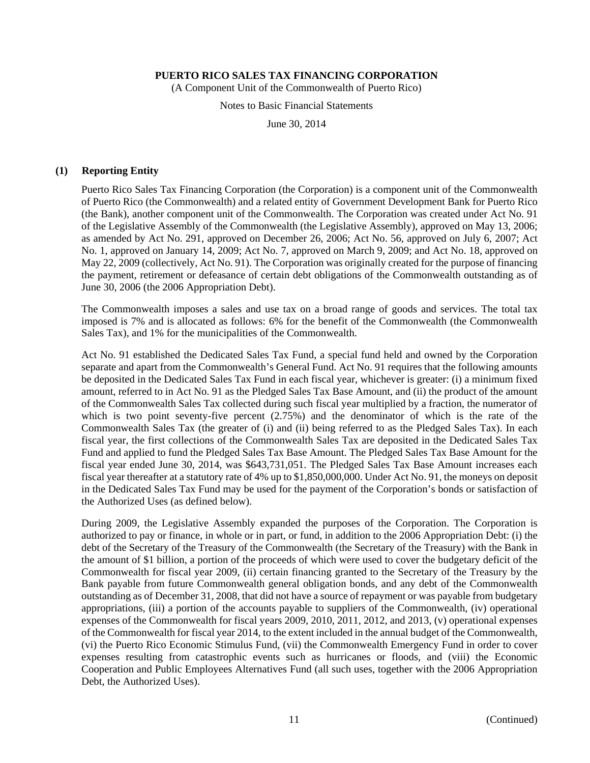(A Component Unit of the Commonwealth of Puerto Rico)

Notes to Basic Financial Statements

June 30, 2014

#### **(1) Reporting Entity**

Puerto Rico Sales Tax Financing Corporation (the Corporation) is a component unit of the Commonwealth of Puerto Rico (the Commonwealth) and a related entity of Government Development Bank for Puerto Rico (the Bank), another component unit of the Commonwealth. The Corporation was created under Act No. 91 of the Legislative Assembly of the Commonwealth (the Legislative Assembly), approved on May 13, 2006; as amended by Act No. 291, approved on December 26, 2006; Act No. 56, approved on July 6, 2007; Act No. 1, approved on January 14, 2009; Act No. 7, approved on March 9, 2009; and Act No. 18, approved on May 22, 2009 (collectively, Act No. 91). The Corporation was originally created for the purpose of financing the payment, retirement or defeasance of certain debt obligations of the Commonwealth outstanding as of June 30, 2006 (the 2006 Appropriation Debt).

The Commonwealth imposes a sales and use tax on a broad range of goods and services. The total tax imposed is 7% and is allocated as follows: 6% for the benefit of the Commonwealth (the Commonwealth Sales Tax), and 1% for the municipalities of the Commonwealth.

Act No. 91 established the Dedicated Sales Tax Fund, a special fund held and owned by the Corporation separate and apart from the Commonwealth's General Fund. Act No. 91 requires that the following amounts be deposited in the Dedicated Sales Tax Fund in each fiscal year, whichever is greater: (i) a minimum fixed amount, referred to in Act No. 91 as the Pledged Sales Tax Base Amount, and (ii) the product of the amount of the Commonwealth Sales Tax collected during such fiscal year multiplied by a fraction, the numerator of which is two point seventy-five percent (2.75%) and the denominator of which is the rate of the Commonwealth Sales Tax (the greater of (i) and (ii) being referred to as the Pledged Sales Tax). In each fiscal year, the first collections of the Commonwealth Sales Tax are deposited in the Dedicated Sales Tax Fund and applied to fund the Pledged Sales Tax Base Amount. The Pledged Sales Tax Base Amount for the fiscal year ended June 30, 2014, was \$643,731,051. The Pledged Sales Tax Base Amount increases each fiscal year thereafter at a statutory rate of 4% up to \$1,850,000,000. Under Act No. 91, the moneys on deposit in the Dedicated Sales Tax Fund may be used for the payment of the Corporation's bonds or satisfaction of the Authorized Uses (as defined below).

During 2009, the Legislative Assembly expanded the purposes of the Corporation. The Corporation is authorized to pay or finance, in whole or in part, or fund, in addition to the 2006 Appropriation Debt: (i) the debt of the Secretary of the Treasury of the Commonwealth (the Secretary of the Treasury) with the Bank in the amount of \$1 billion, a portion of the proceeds of which were used to cover the budgetary deficit of the Commonwealth for fiscal year 2009, (ii) certain financing granted to the Secretary of the Treasury by the Bank payable from future Commonwealth general obligation bonds, and any debt of the Commonwealth outstanding as of December 31, 2008, that did not have a source of repayment or was payable from budgetary appropriations, (iii) a portion of the accounts payable to suppliers of the Commonwealth, (iv) operational expenses of the Commonwealth for fiscal years 2009, 2010, 2011, 2012, and 2013, (v) operational expenses of the Commonwealth for fiscal year 2014, to the extent included in the annual budget of the Commonwealth, (vi) the Puerto Rico Economic Stimulus Fund, (vii) the Commonwealth Emergency Fund in order to cover expenses resulting from catastrophic events such as hurricanes or floods, and (viii) the Economic Cooperation and Public Employees Alternatives Fund (all such uses, together with the 2006 Appropriation Debt, the Authorized Uses).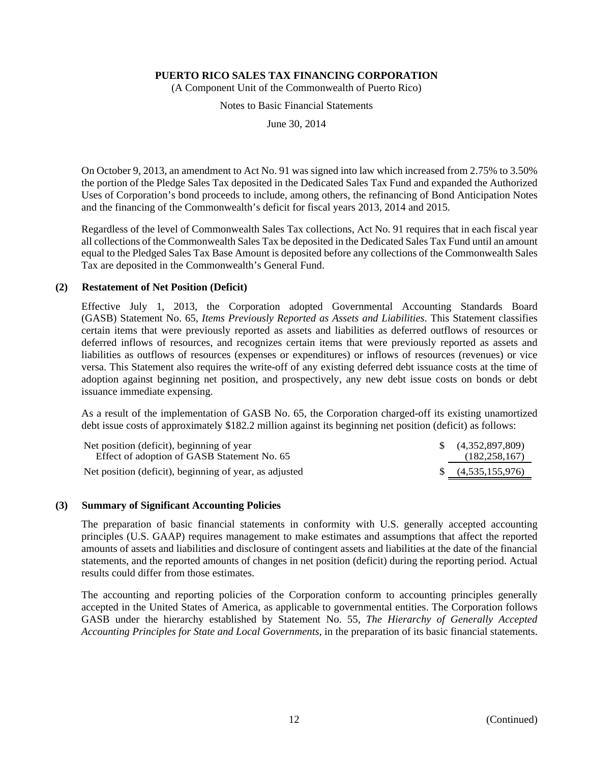(A Component Unit of the Commonwealth of Puerto Rico)

Notes to Basic Financial Statements

June 30, 2014

On October 9, 2013, an amendment to Act No. 91 was signed into law which increased from 2.75% to 3.50% the portion of the Pledge Sales Tax deposited in the Dedicated Sales Tax Fund and expanded the Authorized Uses of Corporation's bond proceeds to include, among others, the refinancing of Bond Anticipation Notes and the financing of the Commonwealth's deficit for fiscal years 2013, 2014 and 2015.

Regardless of the level of Commonwealth Sales Tax collections, Act No. 91 requires that in each fiscal year all collections of the Commonwealth Sales Tax be deposited in the Dedicated Sales Tax Fund until an amount equal to the Pledged Sales Tax Base Amount is deposited before any collections of the Commonwealth Sales Tax are deposited in the Commonwealth's General Fund.

#### **(2) Restatement of Net Position (Deficit)**

Effective July 1, 2013, the Corporation adopted Governmental Accounting Standards Board (GASB) Statement No. 65, *Items Previously Reported as Assets and Liabilities*. This Statement classifies certain items that were previously reported as assets and liabilities as deferred outflows of resources or deferred inflows of resources, and recognizes certain items that were previously reported as assets and liabilities as outflows of resources (expenses or expenditures) or inflows of resources (revenues) or vice versa. This Statement also requires the write-off of any existing deferred debt issuance costs at the time of adoption against beginning net position, and prospectively, any new debt issue costs on bonds or debt issuance immediate expensing.

As a result of the implementation of GASB No. 65, the Corporation charged-off its existing unamortized debt issue costs of approximately \$182.2 million against its beginning net position (deficit) as follows:

| Net position (deficit), beginning of year<br>Effect of adoption of GASB Statement No. 65 | $\{(4,352,897,809)\}$<br>(182, 258, 167) |
|------------------------------------------------------------------------------------------|------------------------------------------|
| Net position (deficit), beginning of year, as adjusted                                   | $\{(4,535,155,976)\}$                    |

#### **(3) Summary of Significant Accounting Policies**

The preparation of basic financial statements in conformity with U.S. generally accepted accounting principles (U.S. GAAP) requires management to make estimates and assumptions that affect the reported amounts of assets and liabilities and disclosure of contingent assets and liabilities at the date of the financial statements, and the reported amounts of changes in net position (deficit) during the reporting period. Actual results could differ from those estimates.

The accounting and reporting policies of the Corporation conform to accounting principles generally accepted in the United States of America, as applicable to governmental entities. The Corporation follows GASB under the hierarchy established by Statement No. 55, *The Hierarchy of Generally Accepted Accounting Principles for State and Local Governments*, in the preparation of its basic financial statements.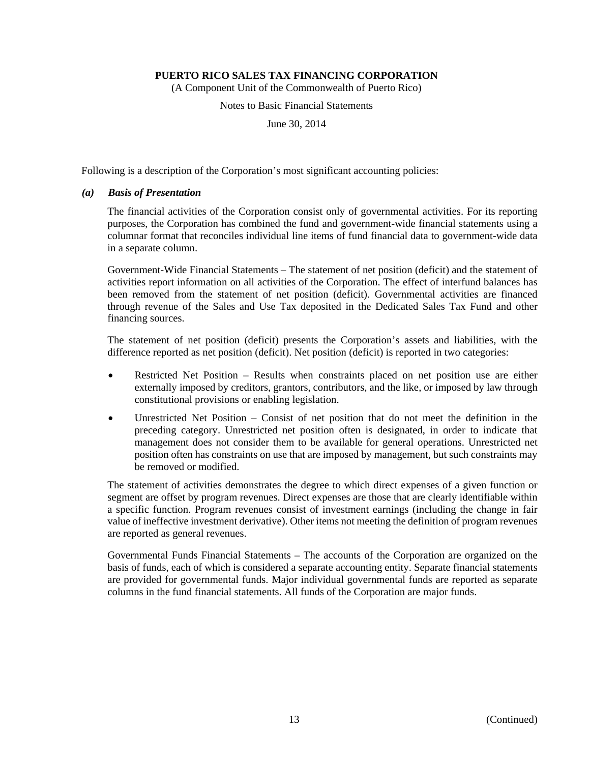(A Component Unit of the Commonwealth of Puerto Rico)

Notes to Basic Financial Statements

June 30, 2014

Following is a description of the Corporation's most significant accounting policies:

#### *(a) Basis of Presentation*

The financial activities of the Corporation consist only of governmental activities. For its reporting purposes, the Corporation has combined the fund and government-wide financial statements using a columnar format that reconciles individual line items of fund financial data to government-wide data in a separate column.

Government-Wide Financial Statements – The statement of net position (deficit) and the statement of activities report information on all activities of the Corporation. The effect of interfund balances has been removed from the statement of net position (deficit). Governmental activities are financed through revenue of the Sales and Use Tax deposited in the Dedicated Sales Tax Fund and other financing sources.

The statement of net position (deficit) presents the Corporation's assets and liabilities, with the difference reported as net position (deficit). Net position (deficit) is reported in two categories:

- Restricted Net Position Results when constraints placed on net position use are either externally imposed by creditors, grantors, contributors, and the like, or imposed by law through constitutional provisions or enabling legislation.
- Unrestricted Net Position Consist of net position that do not meet the definition in the preceding category. Unrestricted net position often is designated, in order to indicate that management does not consider them to be available for general operations. Unrestricted net position often has constraints on use that are imposed by management, but such constraints may be removed or modified.

The statement of activities demonstrates the degree to which direct expenses of a given function or segment are offset by program revenues. Direct expenses are those that are clearly identifiable within a specific function. Program revenues consist of investment earnings (including the change in fair value of ineffective investment derivative). Other items not meeting the definition of program revenues are reported as general revenues.

Governmental Funds Financial Statements – The accounts of the Corporation are organized on the basis of funds, each of which is considered a separate accounting entity. Separate financial statements are provided for governmental funds. Major individual governmental funds are reported as separate columns in the fund financial statements. All funds of the Corporation are major funds.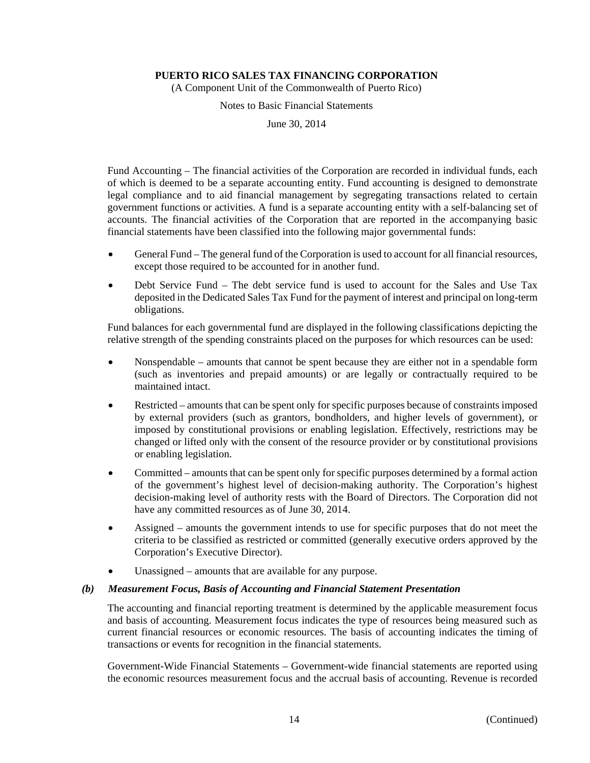(A Component Unit of the Commonwealth of Puerto Rico)

Notes to Basic Financial Statements

June 30, 2014

Fund Accounting – The financial activities of the Corporation are recorded in individual funds, each of which is deemed to be a separate accounting entity. Fund accounting is designed to demonstrate legal compliance and to aid financial management by segregating transactions related to certain government functions or activities. A fund is a separate accounting entity with a self-balancing set of accounts. The financial activities of the Corporation that are reported in the accompanying basic financial statements have been classified into the following major governmental funds:

- General Fund The general fund of the Corporation is used to account for all financial resources, except those required to be accounted for in another fund.
- Debt Service Fund The debt service fund is used to account for the Sales and Use Tax deposited in the Dedicated Sales Tax Fund for the payment of interest and principal on long-term obligations.

Fund balances for each governmental fund are displayed in the following classifications depicting the relative strength of the spending constraints placed on the purposes for which resources can be used:

- Nonspendable amounts that cannot be spent because they are either not in a spendable form (such as inventories and prepaid amounts) or are legally or contractually required to be maintained intact.
- Restricted amounts that can be spent only for specific purposes because of constraints imposed by external providers (such as grantors, bondholders, and higher levels of government), or imposed by constitutional provisions or enabling legislation. Effectively, restrictions may be changed or lifted only with the consent of the resource provider or by constitutional provisions or enabling legislation.
- Committed amounts that can be spent only for specific purposes determined by a formal action of the government's highest level of decision-making authority. The Corporation's highest decision-making level of authority rests with the Board of Directors. The Corporation did not have any committed resources as of June 30, 2014.
- Assigned amounts the government intends to use for specific purposes that do not meet the criteria to be classified as restricted or committed (generally executive orders approved by the Corporation's Executive Director).
- Unassigned amounts that are available for any purpose.

#### *(b) Measurement Focus, Basis of Accounting and Financial Statement Presentation*

The accounting and financial reporting treatment is determined by the applicable measurement focus and basis of accounting. Measurement focus indicates the type of resources being measured such as current financial resources or economic resources. The basis of accounting indicates the timing of transactions or events for recognition in the financial statements.

Government-Wide Financial Statements – Government-wide financial statements are reported using the economic resources measurement focus and the accrual basis of accounting. Revenue is recorded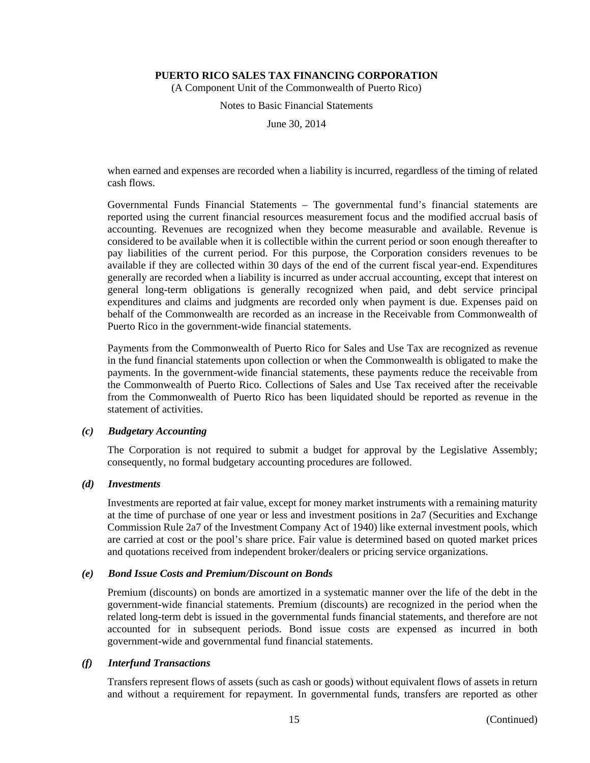(A Component Unit of the Commonwealth of Puerto Rico)

Notes to Basic Financial Statements

June 30, 2014

when earned and expenses are recorded when a liability is incurred, regardless of the timing of related cash flows.

Governmental Funds Financial Statements – The governmental fund's financial statements are reported using the current financial resources measurement focus and the modified accrual basis of accounting. Revenues are recognized when they become measurable and available. Revenue is considered to be available when it is collectible within the current period or soon enough thereafter to pay liabilities of the current period. For this purpose, the Corporation considers revenues to be available if they are collected within 30 days of the end of the current fiscal year-end. Expenditures generally are recorded when a liability is incurred as under accrual accounting, except that interest on general long-term obligations is generally recognized when paid, and debt service principal expenditures and claims and judgments are recorded only when payment is due. Expenses paid on behalf of the Commonwealth are recorded as an increase in the Receivable from Commonwealth of Puerto Rico in the government-wide financial statements.

Payments from the Commonwealth of Puerto Rico for Sales and Use Tax are recognized as revenue in the fund financial statements upon collection or when the Commonwealth is obligated to make the payments. In the government-wide financial statements, these payments reduce the receivable from the Commonwealth of Puerto Rico. Collections of Sales and Use Tax received after the receivable from the Commonwealth of Puerto Rico has been liquidated should be reported as revenue in the statement of activities.

#### *(c) Budgetary Accounting*

The Corporation is not required to submit a budget for approval by the Legislative Assembly; consequently, no formal budgetary accounting procedures are followed.

#### *(d) Investments*

Investments are reported at fair value, except for money market instruments with a remaining maturity at the time of purchase of one year or less and investment positions in 2a7 (Securities and Exchange Commission Rule 2a7 of the Investment Company Act of 1940) like external investment pools, which are carried at cost or the pool's share price. Fair value is determined based on quoted market prices and quotations received from independent broker/dealers or pricing service organizations.

#### *(e) Bond Issue Costs and Premium/Discount on Bonds*

Premium (discounts) on bonds are amortized in a systematic manner over the life of the debt in the government-wide financial statements. Premium (discounts) are recognized in the period when the related long-term debt is issued in the governmental funds financial statements, and therefore are not accounted for in subsequent periods. Bond issue costs are expensed as incurred in both government-wide and governmental fund financial statements.

#### *(f) Interfund Transactions*

Transfers represent flows of assets (such as cash or goods) without equivalent flows of assets in return and without a requirement for repayment. In governmental funds, transfers are reported as other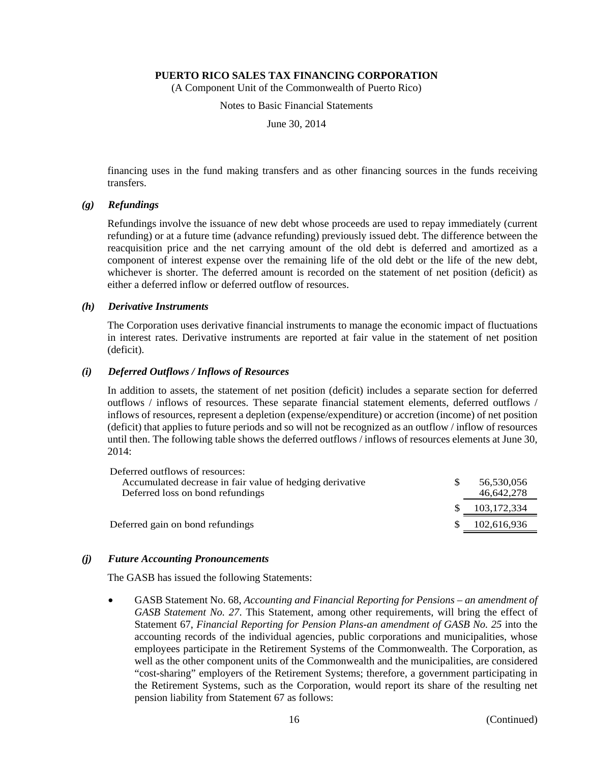(A Component Unit of the Commonwealth of Puerto Rico)

Notes to Basic Financial Statements

June 30, 2014

financing uses in the fund making transfers and as other financing sources in the funds receiving transfers.

#### *(g) Refundings*

Refundings involve the issuance of new debt whose proceeds are used to repay immediately (current refunding) or at a future time (advance refunding) previously issued debt. The difference between the reacquisition price and the net carrying amount of the old debt is deferred and amortized as a component of interest expense over the remaining life of the old debt or the life of the new debt, whichever is shorter. The deferred amount is recorded on the statement of net position (deficit) as either a deferred inflow or deferred outflow of resources.

#### *(h) Derivative Instruments*

The Corporation uses derivative financial instruments to manage the economic impact of fluctuations in interest rates. Derivative instruments are reported at fair value in the statement of net position (deficit).

#### *(i) Deferred Outflows / Inflows of Resources*

In addition to assets, the statement of net position (deficit) includes a separate section for deferred outflows / inflows of resources. These separate financial statement elements, deferred outflows / inflows of resources, represent a depletion (expense/expenditure) or accretion (income) of net position (deficit) that applies to future periods and so will not be recognized as an outflow / inflow of resources until then. The following table shows the deferred outflows / inflows of resources elements at June 30, 2014:

| 56,530,056  |
|-------------|
| 46,642,278  |
| 103,172,334 |
| 102,616,936 |
|             |

#### *(j) Future Accounting Pronouncements*

The GASB has issued the following Statements:

 GASB Statement No. 68, *Accounting and Financial Reporting for Pensions – an amendment of GASB Statement No. 27*. This Statement, among other requirements, will bring the effect of Statement 67, *Financial Reporting for Pension Plans-an amendment of GASB No. 25* into the accounting records of the individual agencies, public corporations and municipalities, whose employees participate in the Retirement Systems of the Commonwealth. The Corporation, as well as the other component units of the Commonwealth and the municipalities, are considered "cost-sharing" employers of the Retirement Systems; therefore, a government participating in the Retirement Systems, such as the Corporation, would report its share of the resulting net pension liability from Statement 67 as follows: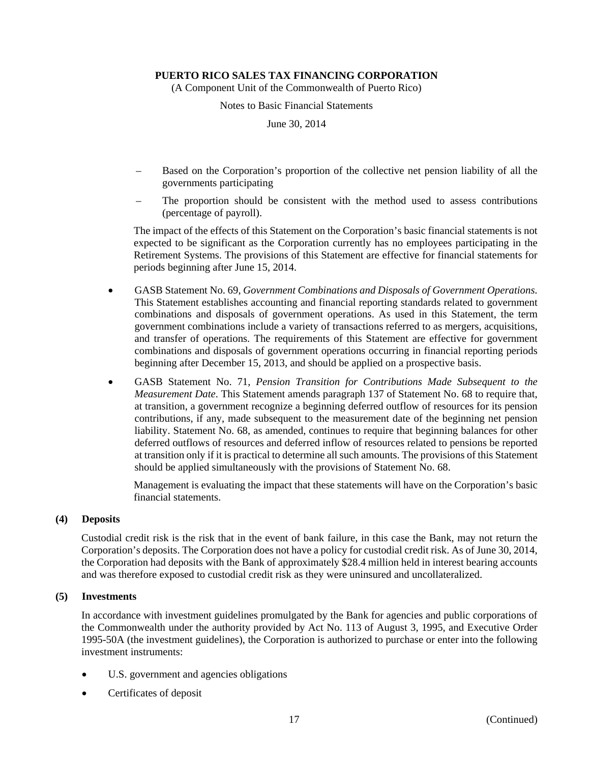(A Component Unit of the Commonwealth of Puerto Rico)

Notes to Basic Financial Statements

June 30, 2014

- Based on the Corporation's proportion of the collective net pension liability of all the governments participating
- The proportion should be consistent with the method used to assess contributions (percentage of payroll).

The impact of the effects of this Statement on the Corporation's basic financial statements is not expected to be significant as the Corporation currently has no employees participating in the Retirement Systems. The provisions of this Statement are effective for financial statements for periods beginning after June 15, 2014.

- GASB Statement No. 69, *Government Combinations and Disposals of Government Operations*. This Statement establishes accounting and financial reporting standards related to government combinations and disposals of government operations. As used in this Statement, the term government combinations include a variety of transactions referred to as mergers, acquisitions, and transfer of operations. The requirements of this Statement are effective for government combinations and disposals of government operations occurring in financial reporting periods beginning after December 15, 2013, and should be applied on a prospective basis.
- GASB Statement No. 71, *Pension Transition for Contributions Made Subsequent to the Measurement Date*. This Statement amends paragraph 137 of Statement No. 68 to require that, at transition, a government recognize a beginning deferred outflow of resources for its pension contributions, if any, made subsequent to the measurement date of the beginning net pension liability. Statement No. 68, as amended, continues to require that beginning balances for other deferred outflows of resources and deferred inflow of resources related to pensions be reported at transition only if it is practical to determine all such amounts. The provisions of this Statement should be applied simultaneously with the provisions of Statement No. 68.

Management is evaluating the impact that these statements will have on the Corporation's basic financial statements.

#### **(4) Deposits**

Custodial credit risk is the risk that in the event of bank failure, in this case the Bank, may not return the Corporation's deposits. The Corporation does not have a policy for custodial credit risk. As of June 30, 2014, the Corporation had deposits with the Bank of approximately \$28.4 million held in interest bearing accounts and was therefore exposed to custodial credit risk as they were uninsured and uncollateralized.

#### **(5) Investments**

In accordance with investment guidelines promulgated by the Bank for agencies and public corporations of the Commonwealth under the authority provided by Act No. 113 of August 3, 1995, and Executive Order 1995-50A (the investment guidelines), the Corporation is authorized to purchase or enter into the following investment instruments:

- U.S. government and agencies obligations
- Certificates of deposit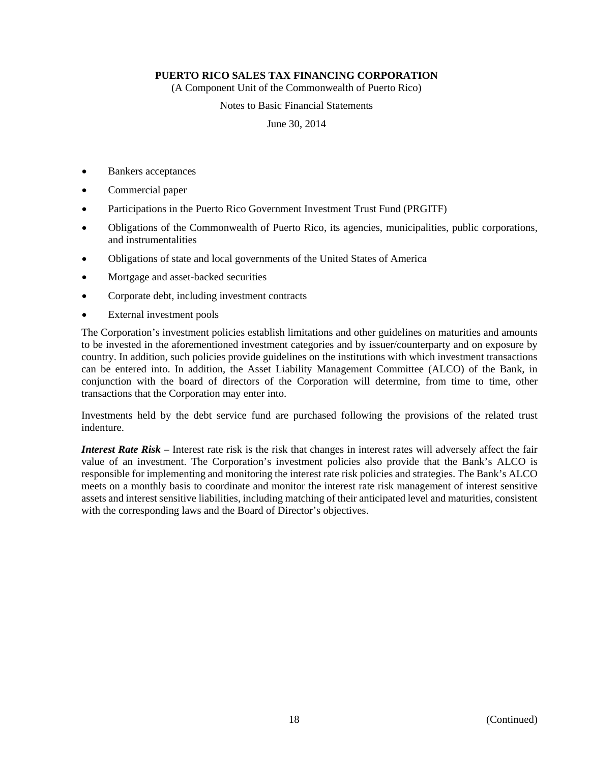(A Component Unit of the Commonwealth of Puerto Rico)

Notes to Basic Financial Statements

June 30, 2014

- Bankers acceptances
- Commercial paper
- Participations in the Puerto Rico Government Investment Trust Fund (PRGITF)
- Obligations of the Commonwealth of Puerto Rico, its agencies, municipalities, public corporations, and instrumentalities
- Obligations of state and local governments of the United States of America
- Mortgage and asset-backed securities
- Corporate debt, including investment contracts
- External investment pools

The Corporation's investment policies establish limitations and other guidelines on maturities and amounts to be invested in the aforementioned investment categories and by issuer/counterparty and on exposure by country. In addition, such policies provide guidelines on the institutions with which investment transactions can be entered into. In addition, the Asset Liability Management Committee (ALCO) of the Bank, in conjunction with the board of directors of the Corporation will determine, from time to time, other transactions that the Corporation may enter into.

Investments held by the debt service fund are purchased following the provisions of the related trust indenture.

*Interest Rate Risk* – Interest rate risk is the risk that changes in interest rates will adversely affect the fair value of an investment. The Corporation's investment policies also provide that the Bank's ALCO is responsible for implementing and monitoring the interest rate risk policies and strategies. The Bank's ALCO meets on a monthly basis to coordinate and monitor the interest rate risk management of interest sensitive assets and interest sensitive liabilities, including matching of their anticipated level and maturities, consistent with the corresponding laws and the Board of Director's objectives.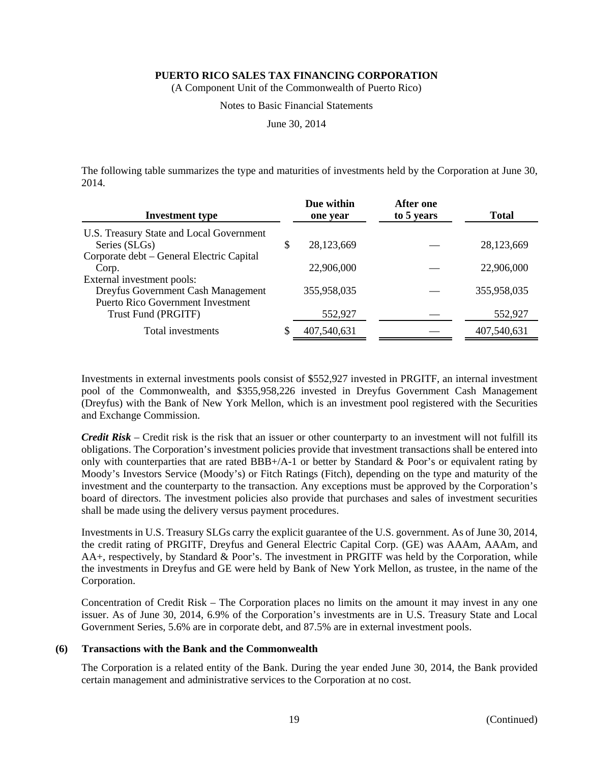(A Component Unit of the Commonwealth of Puerto Rico)

Notes to Basic Financial Statements

June 30, 2014

The following table summarizes the type and maturities of investments held by the Corporation at June 30, 2014.

| <b>Investment type</b>                                           | Due within<br>one year | <b>After one</b><br>to 5 years | <b>Total</b> |
|------------------------------------------------------------------|------------------------|--------------------------------|--------------|
| U.S. Treasury State and Local Government<br>Series (SLGs)        | \$<br>28,123,669       |                                | 28,123,669   |
| Corporate debt – General Electric Capital<br>Corp.               | 22,906,000             |                                | 22,906,000   |
| External investment pools:<br>Dreyfus Government Cash Management | 355,958,035            |                                | 355,958,035  |
| <b>Puerto Rico Government Investment</b><br>Trust Fund (PRGITF)  | 552,927                |                                | 552,927      |
| Total investments                                                | 407,540,631            |                                | 407,540,631  |

Investments in external investments pools consist of \$552,927 invested in PRGITF, an internal investment pool of the Commonwealth, and \$355,958,226 invested in Dreyfus Government Cash Management (Dreyfus) with the Bank of New York Mellon, which is an investment pool registered with the Securities and Exchange Commission.

*Credit Risk* – Credit risk is the risk that an issuer or other counterparty to an investment will not fulfill its obligations. The Corporation's investment policies provide that investment transactions shall be entered into only with counterparties that are rated  $BBB+/A-1$  or better by Standard & Poor's or equivalent rating by Moody's Investors Service (Moody's) or Fitch Ratings (Fitch), depending on the type and maturity of the investment and the counterparty to the transaction. Any exceptions must be approved by the Corporation's board of directors. The investment policies also provide that purchases and sales of investment securities shall be made using the delivery versus payment procedures.

Investments in U.S. Treasury SLGs carry the explicit guarantee of the U.S. government. As of June 30, 2014, the credit rating of PRGITF, Dreyfus and General Electric Capital Corp. (GE) was AAAm, AAAm, and AA+, respectively, by Standard & Poor's. The investment in PRGITF was held by the Corporation, while the investments in Dreyfus and GE were held by Bank of New York Mellon, as trustee, in the name of the Corporation.

Concentration of Credit Risk – The Corporation places no limits on the amount it may invest in any one issuer. As of June 30, 2014, 6.9% of the Corporation's investments are in U.S. Treasury State and Local Government Series, 5.6% are in corporate debt, and 87.5% are in external investment pools.

#### **(6) Transactions with the Bank and the Commonwealth**

The Corporation is a related entity of the Bank. During the year ended June 30, 2014, the Bank provided certain management and administrative services to the Corporation at no cost.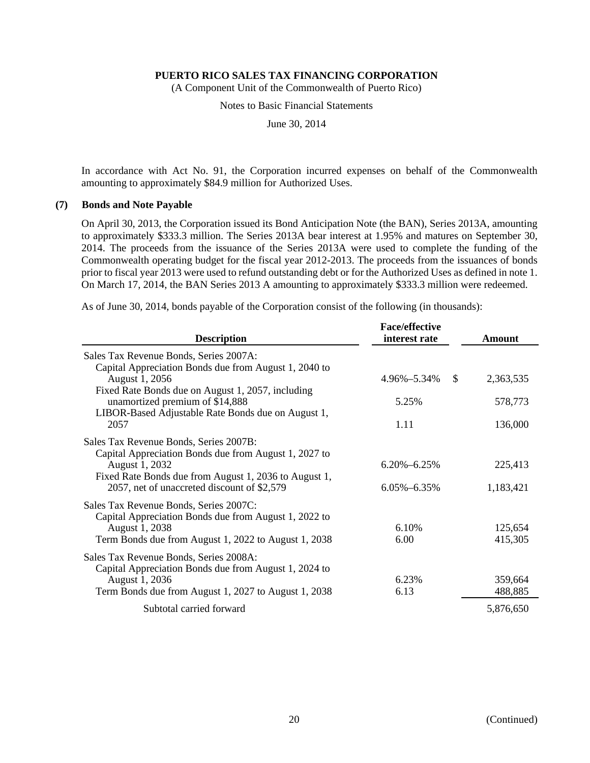(A Component Unit of the Commonwealth of Puerto Rico)

Notes to Basic Financial Statements

June 30, 2014

In accordance with Act No. 91, the Corporation incurred expenses on behalf of the Commonwealth amounting to approximately \$84.9 million for Authorized Uses.

#### **(7) Bonds and Note Payable**

On April 30, 2013, the Corporation issued its Bond Anticipation Note (the BAN), Series 2013A, amounting to approximately \$333.3 million. The Series 2013A bear interest at 1.95% and matures on September 30, 2014. The proceeds from the issuance of the Series 2013A were used to complete the funding of the Commonwealth operating budget for the fiscal year 2012-2013. The proceeds from the issuances of bonds prior to fiscal year 2013 were used to refund outstanding debt or for the Authorized Uses as defined in note 1. On March 17, 2014, the BAN Series 2013 A amounting to approximately \$333.3 million were redeemed.

As of June 30, 2014, bonds payable of the Corporation consist of the following (in thousands):

| <b>Description</b>                                                                                                                                                                                                        | <b>Face/effective</b><br>interest rate | <b>Amount</b>        |
|---------------------------------------------------------------------------------------------------------------------------------------------------------------------------------------------------------------------------|----------------------------------------|----------------------|
| Sales Tax Revenue Bonds, Series 2007A:<br>Capital Appreciation Bonds due from August 1, 2040 to<br>August 1, 2056                                                                                                         | \$<br>4.96%-5.34%                      | 2,363,535            |
| Fixed Rate Bonds due on August 1, 2057, including<br>unamortized premium of \$14,888<br>LIBOR-Based Adjustable Rate Bonds due on August 1,                                                                                | 5.25%                                  | 578,773              |
| 2057                                                                                                                                                                                                                      | 1.11                                   | 136,000              |
| Sales Tax Revenue Bonds, Series 2007B:<br>Capital Appreciation Bonds due from August 1, 2027 to<br>August 1, 2032<br>Fixed Rate Bonds due from August 1, 2036 to August 1,<br>2057, net of unaccreted discount of \$2,579 | $6.20\% - 6.25\%$<br>$6.05\% - 6.35\%$ | 225,413<br>1,183,421 |
| Sales Tax Revenue Bonds, Series 2007C:<br>Capital Appreciation Bonds due from August 1, 2022 to<br>August 1, 2038<br>Term Bonds due from August 1, 2022 to August 1, 2038                                                 | 6.10%<br>6.00                          | 125,654<br>415,305   |
| Sales Tax Revenue Bonds, Series 2008A:<br>Capital Appreciation Bonds due from August 1, 2024 to<br>August 1, 2036<br>Term Bonds due from August 1, 2027 to August 1, 2038                                                 | 6.23%<br>6.13                          | 359,664<br>488,885   |
| Subtotal carried forward                                                                                                                                                                                                  |                                        | 5,876,650            |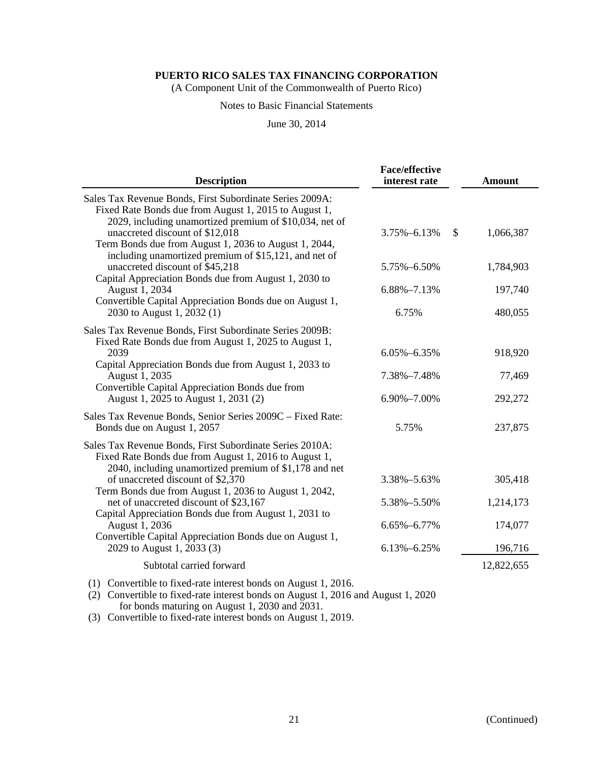(A Component Unit of the Commonwealth of Puerto Rico)

#### Notes to Basic Financial Statements

#### June 30, 2014

| <b>Description</b>                                                                                                                                                                                     | <b>Face/effective</b><br>interest rate | <b>Amount</b> |
|--------------------------------------------------------------------------------------------------------------------------------------------------------------------------------------------------------|----------------------------------------|---------------|
| Sales Tax Revenue Bonds, First Subordinate Series 2009A:<br>Fixed Rate Bonds due from August 1, 2015 to August 1,                                                                                      |                                        |               |
| 2029, including unamortized premium of \$10,034, net of<br>unaccreted discount of \$12,018<br>Term Bonds due from August 1, 2036 to August 1, 2044,                                                    | 3.75%-6.13%<br>\$                      | 1,066,387     |
| including unamortized premium of \$15,121, and net of<br>unaccreted discount of \$45,218<br>Capital Appreciation Bonds due from August 1, 2030 to                                                      | 5.75%-6.50%                            | 1,784,903     |
| August 1, 2034                                                                                                                                                                                         | 6.88%-7.13%                            | 197,740       |
| Convertible Capital Appreciation Bonds due on August 1,<br>2030 to August 1, 2032 (1)                                                                                                                  | 6.75%                                  | 480,055       |
| Sales Tax Revenue Bonds, First Subordinate Series 2009B:<br>Fixed Rate Bonds due from August 1, 2025 to August 1,<br>2039                                                                              | 6.05%-6.35%                            | 918,920       |
| Capital Appreciation Bonds due from August 1, 2033 to<br>August 1, 2035<br>Convertible Capital Appreciation Bonds due from                                                                             | 7.38%-7.48%                            | 77,469        |
| August 1, 2025 to August 1, 2031 (2)                                                                                                                                                                   | 6.90%-7.00%                            | 292,272       |
| Sales Tax Revenue Bonds, Senior Series 2009C - Fixed Rate:<br>Bonds due on August 1, 2057                                                                                                              | 5.75%                                  | 237,875       |
| Sales Tax Revenue Bonds, First Subordinate Series 2010A:<br>Fixed Rate Bonds due from August 1, 2016 to August 1,<br>2040, including unamortized premium of \$1,178 and net                            |                                        |               |
| of unaccreted discount of \$2,370                                                                                                                                                                      | 3.38%-5.63%                            | 305,418       |
| Term Bonds due from August 1, 2036 to August 1, 2042,<br>net of unaccreted discount of \$23,167<br>Capital Appreciation Bonds due from August 1, 2031 to                                               | 5.38%-5.50%                            | 1,214,173     |
| August 1, 2036                                                                                                                                                                                         | 6.65%-6.77%                            | 174,077       |
| Convertible Capital Appreciation Bonds due on August 1,<br>2029 to August 1, 2033 (3)                                                                                                                  | 6.13%-6.25%                            | 196,716       |
| Subtotal carried forward                                                                                                                                                                               |                                        | 12,822,655    |
| (1) Convertible to fixed-rate interest bonds on August 1, 2016.<br>(2) Convertible to fixed-rate interest bonds on August 1, 2016 and August 1, 2020<br>for bonds maturing on August 1, 2030 and 2031. |                                        |               |

(3) Convertible to fixed-rate interest bonds on August 1, 2019.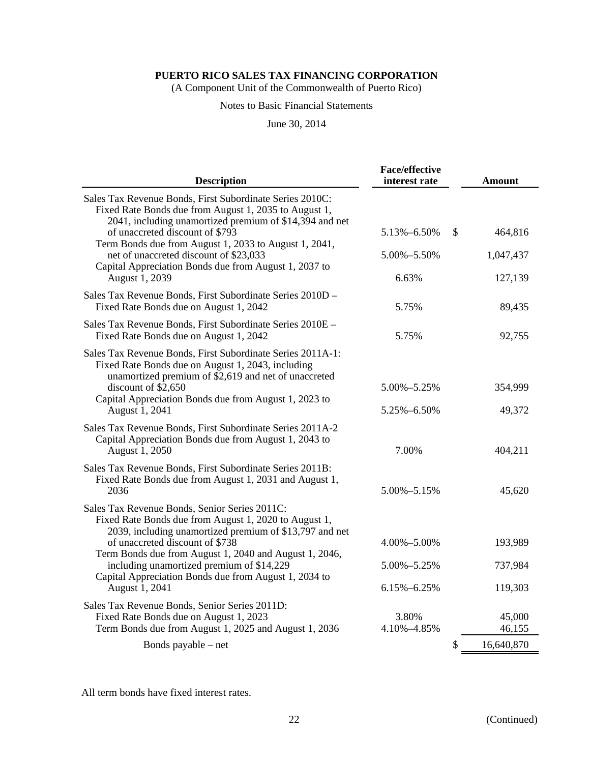(A Component Unit of the Commonwealth of Puerto Rico)

#### Notes to Basic Financial Statements

June 30, 2014

| <b>Description</b>                                                                                                                                                                                                                                                                                                                                                                     | <b>Face/effective</b><br>interest rate    | <b>Amount</b>                 |  |
|----------------------------------------------------------------------------------------------------------------------------------------------------------------------------------------------------------------------------------------------------------------------------------------------------------------------------------------------------------------------------------------|-------------------------------------------|-------------------------------|--|
| Sales Tax Revenue Bonds, First Subordinate Series 2010C:<br>Fixed Rate Bonds due from August 1, 2035 to August 1,<br>2041, including unamortized premium of \$14,394 and net<br>of unaccreted discount of \$793<br>Term Bonds due from August 1, 2033 to August 1, 2041,<br>net of unaccreted discount of \$23,033<br>Capital Appreciation Bonds due from August 1, 2037 to            | 5.13%-6.50%<br>S<br>5.00%-5.50%           | 464,816<br>1,047,437          |  |
| August 1, 2039                                                                                                                                                                                                                                                                                                                                                                         | 6.63%                                     | 127,139                       |  |
| Sales Tax Revenue Bonds, First Subordinate Series 2010D -<br>Fixed Rate Bonds due on August 1, 2042                                                                                                                                                                                                                                                                                    | 5.75%                                     | 89,435                        |  |
| Sales Tax Revenue Bonds, First Subordinate Series 2010E -<br>Fixed Rate Bonds due on August 1, 2042                                                                                                                                                                                                                                                                                    | 5.75%                                     | 92,755                        |  |
| Sales Tax Revenue Bonds, First Subordinate Series 2011A-1:<br>Fixed Rate Bonds due on August 1, 2043, including<br>unamortized premium of \$2,619 and net of unaccreted<br>discount of \$2,650<br>Capital Appreciation Bonds due from August 1, 2023 to<br>August 1, 2041                                                                                                              | 5.00%-5.25%<br>5.25%-6.50%                | 354,999<br>49,372             |  |
| Sales Tax Revenue Bonds, First Subordinate Series 2011A-2<br>Capital Appreciation Bonds due from August 1, 2043 to<br>August 1, 2050                                                                                                                                                                                                                                                   | 7.00%                                     | 404,211                       |  |
| Sales Tax Revenue Bonds, First Subordinate Series 2011B:<br>Fixed Rate Bonds due from August 1, 2031 and August 1,<br>2036                                                                                                                                                                                                                                                             | 5.00%-5.15%                               | 45,620                        |  |
| Sales Tax Revenue Bonds, Senior Series 2011C:<br>Fixed Rate Bonds due from August 1, 2020 to August 1,<br>2039, including unamortized premium of \$13,797 and net<br>of unaccreted discount of \$738<br>Term Bonds due from August 1, 2040 and August 1, 2046,<br>including unamortized premium of \$14,229<br>Capital Appreciation Bonds due from August 1, 2034 to<br>August 1, 2041 | 4.00%-5.00%<br>5.00%-5.25%<br>6.15%-6.25% | 193,989<br>737,984<br>119,303 |  |
| Sales Tax Revenue Bonds, Senior Series 2011D:<br>Fixed Rate Bonds due on August 1, 2023<br>Term Bonds due from August 1, 2025 and August 1, 2036                                                                                                                                                                                                                                       | 3.80%<br>4.10%-4.85%                      | 45,000<br>46,155              |  |
| Bonds payable – net                                                                                                                                                                                                                                                                                                                                                                    | \$                                        | 16,640,870                    |  |

All term bonds have fixed interest rates.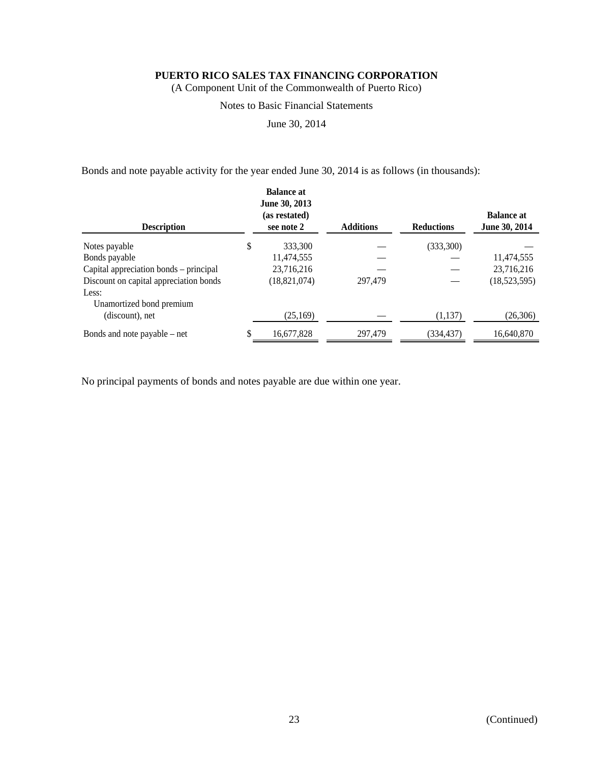(A Component Unit of the Commonwealth of Puerto Rico)

#### Notes to Basic Financial Statements

June 30, 2014

Bonds and note payable activity for the year ended June 30, 2014 is as follows (in thousands):

| <b>Description</b>                     | <b>Balance at</b><br>June 30, 2013<br>(as restated)<br>see note 2 | <b>Additions</b> | <b>Reductions</b> | <b>Balance at</b><br>June 30, 2014 |
|----------------------------------------|-------------------------------------------------------------------|------------------|-------------------|------------------------------------|
| Notes payable                          | \$<br>333,300                                                     |                  | (333,300)         |                                    |
| Bonds payable                          | 11,474,555                                                        |                  |                   | 11,474,555                         |
| Capital appreciation bonds – principal | 23,716,216                                                        |                  |                   | 23,716,216                         |
| Discount on capital appreciation bonds | (18,821,074)                                                      | 297,479          |                   | (18,523,595)                       |
| Less:                                  |                                                                   |                  |                   |                                    |
| Unamortized bond premium               |                                                                   |                  |                   |                                    |
| (discount), net                        | (25,169)                                                          |                  | (1, 137)          | (26,306)                           |
| Bonds and note payable $-$ net         | 16,677,828                                                        | 297,479          | (334,437)         | 16,640,870                         |

No principal payments of bonds and notes payable are due within one year.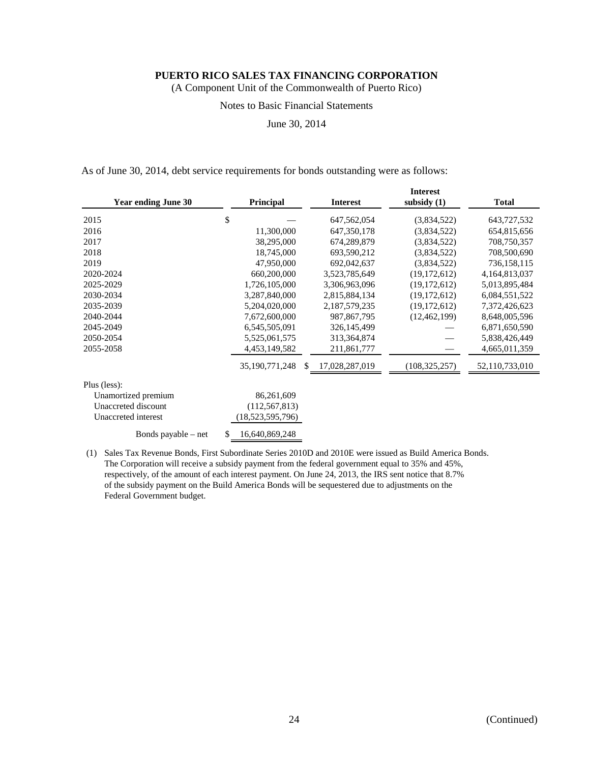(A Component Unit of the Commonwealth of Puerto Rico)

#### Notes to Basic Financial Statements

June 30, 2014

As of June 30, 2014, debt service requirements for bonds outstanding were as follows:

| <b>Year ending June 30</b> | Principal            | <b>Interest</b>     | <b>Interest</b><br>subsidy $(1)$ | <b>Total</b>   |
|----------------------------|----------------------|---------------------|----------------------------------|----------------|
| 2015                       | \$                   | 647,562,054         | (3,834,522)                      | 643,727,532    |
| 2016                       | 11,300,000           | 647,350,178         | (3,834,522)                      | 654,815,656    |
| 2017                       | 38,295,000           | 674,289,879         | (3,834,522)                      | 708,750,357    |
| 2018                       | 18,745,000           | 693,590,212         | (3,834,522)                      | 708,500,690    |
| 2019                       | 47,950,000           | 692,042,637         | (3,834,522)                      | 736,158,115    |
| 2020-2024                  | 660,200,000          | 3,523,785,649       | (19, 172, 612)                   | 4,164,813,037  |
| 2025-2029                  | 1,726,105,000        | 3,306,963,096       | (19, 172, 612)                   | 5,013,895,484  |
| 2030-2034                  | 3,287,840,000        | 2,815,884,134       | (19, 172, 612)                   | 6,084,551,522  |
| 2035-2039                  | 5,204,020,000        | 2,187,579,235       | (19, 172, 612)                   | 7,372,426,623  |
| 2040-2044                  | 7,672,600,000        | 987, 867, 795       | (12, 462, 199)                   | 8,648,005,596  |
| 2045-2049                  | 6,545,505,091        | 326,145,499         |                                  | 6,871,650,590  |
| 2050-2054                  | 5,525,061,575        | 313,364,874         |                                  | 5,838,426,449  |
| 2055-2058                  | 4,453,149,582        | 211,861,777         |                                  | 4,665,011,359  |
|                            | 35,190,771,248       | 17,028,287,019<br>S | (108, 325, 257)                  | 52,110,733,010 |
| Plus (less):               |                      |                     |                                  |                |
| Unamortized premium        | 86,261,609           |                     |                                  |                |
| Unaccreted discount        | (112, 567, 813)      |                     |                                  |                |
| Unaccreted interest        | (18,523,595,796)     |                     |                                  |                |
| Bonds payable – net        | 16,640,869,248<br>S. |                     |                                  |                |

(1) Sales Tax Revenue Bonds, First Subordinate Series 2010D and 2010E were issued as Build America Bonds. The Corporation will receive a subsidy payment from the federal government equal to 35% and 45%, respectively, of the amount of each interest payment. On June 24, 2013, the IRS sent notice that 8.7% of the subsidy payment on the Build America Bonds will be sequestered due to adjustments on the Federal Government budget.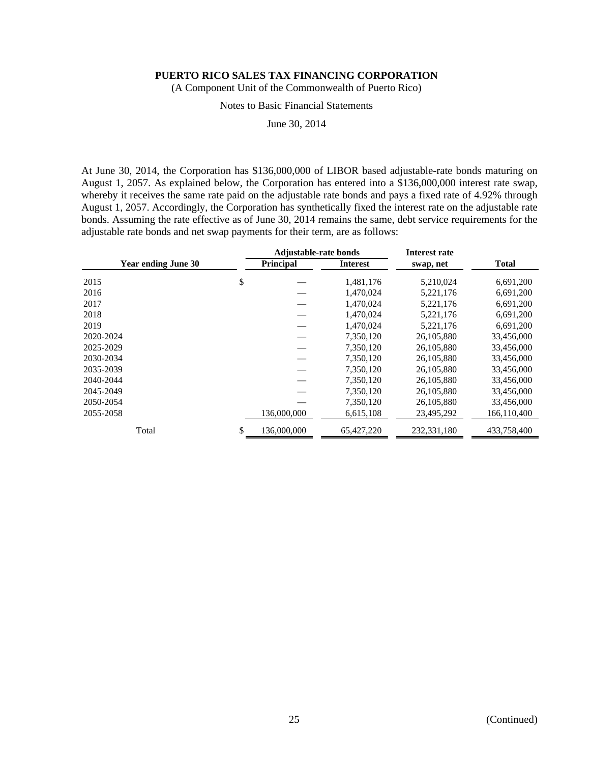(A Component Unit of the Commonwealth of Puerto Rico)

#### Notes to Basic Financial Statements

June 30, 2014

At June 30, 2014, the Corporation has \$136,000,000 of LIBOR based adjustable-rate bonds maturing on August 1, 2057. As explained below, the Corporation has entered into a \$136,000,000 interest rate swap, whereby it receives the same rate paid on the adjustable rate bonds and pays a fixed rate of 4.92% through August 1, 2057. Accordingly, the Corporation has synthetically fixed the interest rate on the adjustable rate bonds. Assuming the rate effective as of June 30, 2014 remains the same, debt service requirements for the adjustable rate bonds and net swap payments for their term, are as follows:

| <b>Year ending June 30</b> |    | <b>Adjustable-rate bonds</b> |                 | Interest rate |              |
|----------------------------|----|------------------------------|-----------------|---------------|--------------|
|                            |    | <b>Principal</b>             | <b>Interest</b> | swap, net     | <b>Total</b> |
| 2015                       | \$ |                              | 1,481,176       | 5,210,024     | 6,691,200    |
| 2016                       |    |                              | 1,470,024       | 5,221,176     | 6,691,200    |
| 2017                       |    |                              | 1,470,024       | 5,221,176     | 6,691,200    |
| 2018                       |    |                              | 1,470,024       | 5,221,176     | 6,691,200    |
| 2019                       |    |                              | 1,470,024       | 5,221,176     | 6,691,200    |
| 2020-2024                  |    |                              | 7,350,120       | 26,105,880    | 33,456,000   |
| 2025-2029                  |    |                              | 7,350,120       | 26,105,880    | 33,456,000   |
| 2030-2034                  |    |                              | 7,350,120       | 26,105,880    | 33,456,000   |
| 2035-2039                  |    |                              | 7,350,120       | 26, 105, 880  | 33,456,000   |
| 2040-2044                  |    |                              | 7,350,120       | 26,105,880    | 33,456,000   |
| 2045-2049                  |    |                              | 7.350.120       | 26,105,880    | 33,456,000   |
| 2050-2054                  |    |                              | 7,350,120       | 26,105,880    | 33,456,000   |
| 2055-2058                  |    | 136,000,000                  | 6,615,108       | 23,495,292    | 166,110,400  |
| Total                      | \$ | 136,000,000                  | 65,427,220      | 232, 331, 180 | 433,758,400  |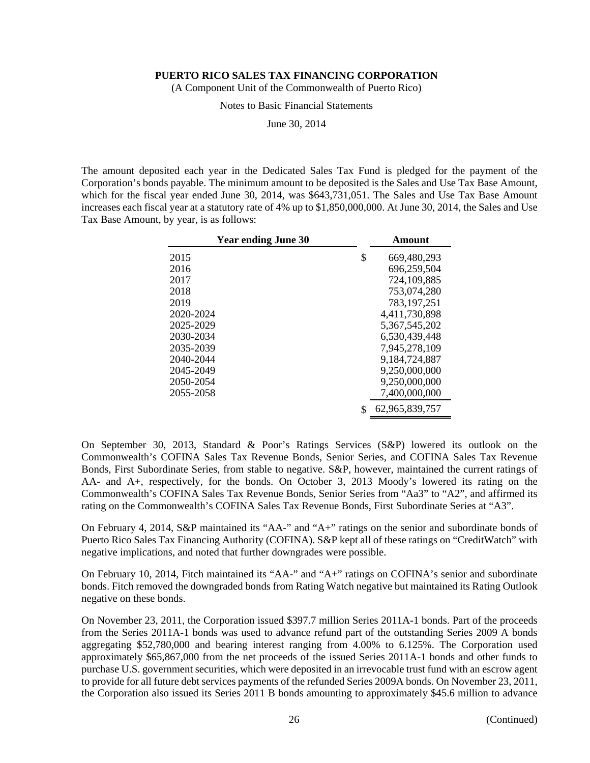(A Component Unit of the Commonwealth of Puerto Rico)

Notes to Basic Financial Statements

June 30, 2014

The amount deposited each year in the Dedicated Sales Tax Fund is pledged for the payment of the Corporation's bonds payable. The minimum amount to be deposited is the Sales and Use Tax Base Amount, which for the fiscal year ended June 30, 2014, was \$643,731,051. The Sales and Use Tax Base Amount increases each fiscal year at a statutory rate of 4% up to \$1,850,000,000. At June 30, 2014, the Sales and Use Tax Base Amount, by year, is as follows:

| <b>Year ending June 30</b> | Amount            |
|----------------------------|-------------------|
| 2015                       | \$<br>669,480,293 |
| 2016                       | 696,259,504       |
| 2017                       | 724,109,885       |
| 2018                       | 753,074,280       |
| 2019                       | 783, 197, 251     |
| 2020-2024                  | 4,411,730,898     |
| 2025-2029                  | 5,367,545,202     |
| 2030-2034                  | 6,530,439,448     |
| 2035-2039                  | 7,945,278,109     |
| 2040-2044                  | 9,184,724,887     |
| 2045-2049                  | 9,250,000,000     |
| 2050-2054                  | 9,250,000,000     |
| 2055-2058                  | 7,400,000,000     |
|                            | 62,965,839,757    |

On September 30, 2013, Standard & Poor's Ratings Services (S&P) lowered its outlook on the Commonwealth's COFINA Sales Tax Revenue Bonds, Senior Series, and COFINA Sales Tax Revenue Bonds, First Subordinate Series, from stable to negative. S&P, however, maintained the current ratings of AA- and A+, respectively, for the bonds. On October 3, 2013 Moody's lowered its rating on the Commonwealth's COFINA Sales Tax Revenue Bonds, Senior Series from "Aa3" to "A2", and affirmed its rating on the Commonwealth's COFINA Sales Tax Revenue Bonds, First Subordinate Series at "A3".

On February 4, 2014, S&P maintained its "AA-" and "A+" ratings on the senior and subordinate bonds of Puerto Rico Sales Tax Financing Authority (COFINA). S&P kept all of these ratings on "CreditWatch" with negative implications, and noted that further downgrades were possible.

On February 10, 2014, Fitch maintained its "AA-" and "A+" ratings on COFINA's senior and subordinate bonds. Fitch removed the downgraded bonds from Rating Watch negative but maintained its Rating Outlook negative on these bonds.

On November 23, 2011, the Corporation issued \$397.7 million Series 2011A-1 bonds. Part of the proceeds from the Series 2011A-1 bonds was used to advance refund part of the outstanding Series 2009 A bonds aggregating \$52,780,000 and bearing interest ranging from 4.00% to 6.125%. The Corporation used approximately \$65,867,000 from the net proceeds of the issued Series 2011A-1 bonds and other funds to purchase U.S. government securities, which were deposited in an irrevocable trust fund with an escrow agent to provide for all future debt services payments of the refunded Series 2009A bonds. On November 23, 2011, the Corporation also issued its Series 2011 B bonds amounting to approximately \$45.6 million to advance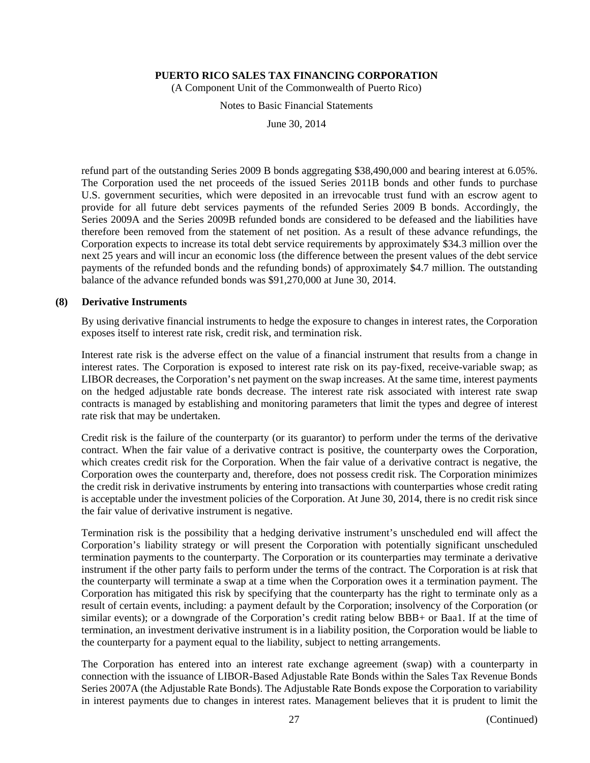(A Component Unit of the Commonwealth of Puerto Rico)

Notes to Basic Financial Statements

June 30, 2014

refund part of the outstanding Series 2009 B bonds aggregating \$38,490,000 and bearing interest at 6.05%. The Corporation used the net proceeds of the issued Series 2011B bonds and other funds to purchase U.S. government securities, which were deposited in an irrevocable trust fund with an escrow agent to provide for all future debt services payments of the refunded Series 2009 B bonds. Accordingly, the Series 2009A and the Series 2009B refunded bonds are considered to be defeased and the liabilities have therefore been removed from the statement of net position. As a result of these advance refundings, the Corporation expects to increase its total debt service requirements by approximately \$34.3 million over the next 25 years and will incur an economic loss (the difference between the present values of the debt service payments of the refunded bonds and the refunding bonds) of approximately \$4.7 million. The outstanding balance of the advance refunded bonds was \$91,270,000 at June 30, 2014.

#### **(8) Derivative Instruments**

By using derivative financial instruments to hedge the exposure to changes in interest rates, the Corporation exposes itself to interest rate risk, credit risk, and termination risk.

Interest rate risk is the adverse effect on the value of a financial instrument that results from a change in interest rates. The Corporation is exposed to interest rate risk on its pay-fixed, receive-variable swap; as LIBOR decreases, the Corporation's net payment on the swap increases. At the same time, interest payments on the hedged adjustable rate bonds decrease. The interest rate risk associated with interest rate swap contracts is managed by establishing and monitoring parameters that limit the types and degree of interest rate risk that may be undertaken.

Credit risk is the failure of the counterparty (or its guarantor) to perform under the terms of the derivative contract. When the fair value of a derivative contract is positive, the counterparty owes the Corporation, which creates credit risk for the Corporation. When the fair value of a derivative contract is negative, the Corporation owes the counterparty and, therefore, does not possess credit risk. The Corporation minimizes the credit risk in derivative instruments by entering into transactions with counterparties whose credit rating is acceptable under the investment policies of the Corporation. At June 30, 2014, there is no credit risk since the fair value of derivative instrument is negative.

Termination risk is the possibility that a hedging derivative instrument's unscheduled end will affect the Corporation's liability strategy or will present the Corporation with potentially significant unscheduled termination payments to the counterparty. The Corporation or its counterparties may terminate a derivative instrument if the other party fails to perform under the terms of the contract. The Corporation is at risk that the counterparty will terminate a swap at a time when the Corporation owes it a termination payment. The Corporation has mitigated this risk by specifying that the counterparty has the right to terminate only as a result of certain events, including: a payment default by the Corporation; insolvency of the Corporation (or similar events); or a downgrade of the Corporation's credit rating below BBB+ or Baa1. If at the time of termination, an investment derivative instrument is in a liability position, the Corporation would be liable to the counterparty for a payment equal to the liability, subject to netting arrangements.

The Corporation has entered into an interest rate exchange agreement (swap) with a counterparty in connection with the issuance of LIBOR-Based Adjustable Rate Bonds within the Sales Tax Revenue Bonds Series 2007A (the Adjustable Rate Bonds). The Adjustable Rate Bonds expose the Corporation to variability in interest payments due to changes in interest rates. Management believes that it is prudent to limit the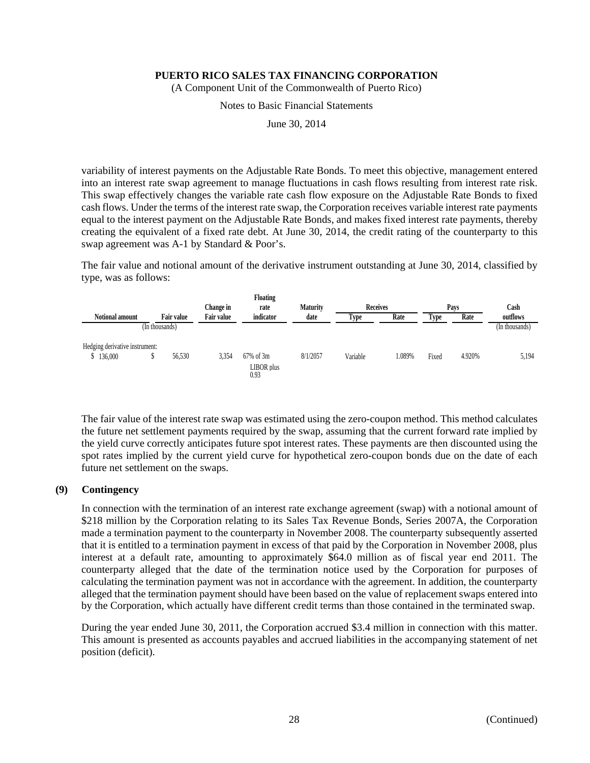(A Component Unit of the Commonwealth of Puerto Rico)

Notes to Basic Financial Statements

June 30, 2014

variability of interest payments on the Adjustable Rate Bonds. To meet this objective, management entered into an interest rate swap agreement to manage fluctuations in cash flows resulting from interest rate risk. This swap effectively changes the variable rate cash flow exposure on the Adjustable Rate Bonds to fixed cash flows. Under the terms of the interest rate swap, the Corporation receives variable interest rate payments equal to the interest payment on the Adjustable Rate Bonds, and makes fixed interest rate payments, thereby creating the equivalent of a fixed rate debt. At June 30, 2014, the credit rating of the counterparty to this swap agreement was A-1 by Standard & Poor's.

The fair value and notional amount of the derivative instrument outstanding at June 30, 2014, classified by type, was as follows:

| Floating                       |                |                   |                   |                    |                 |                 |        |             |        |                |
|--------------------------------|----------------|-------------------|-------------------|--------------------|-----------------|-----------------|--------|-------------|--------|----------------|
|                                |                |                   | Change in         | rate               | <b>Maturity</b> | <b>Receives</b> |        | Pays        |        | Cash           |
| <b>Notional amount</b>         |                | <b>Fair value</b> | <b>Fair value</b> | indicator          | date            | <b>Type</b>     | Rate   | <b>Type</b> | Rate   | outflows       |
|                                | (In thousands) |                   |                   |                    |                 |                 |        |             |        | (In thousands) |
| Hedging derivative instrument: |                |                   |                   |                    |                 |                 |        |             |        |                |
| \$136,000                      |                | 56.530            | 3,354             | 67% of 3m          | 8/1/2057        | Variable        | 1.089% | Fixed       | 4.920% | 5,194          |
|                                |                |                   |                   | LIBOR plus<br>0.93 |                 |                 |        |             |        |                |

The fair value of the interest rate swap was estimated using the zero-coupon method. This method calculates the future net settlement payments required by the swap, assuming that the current forward rate implied by the yield curve correctly anticipates future spot interest rates. These payments are then discounted using the spot rates implied by the current yield curve for hypothetical zero-coupon bonds due on the date of each future net settlement on the swaps.

#### **(9) Contingency**

In connection with the termination of an interest rate exchange agreement (swap) with a notional amount of \$218 million by the Corporation relating to its Sales Tax Revenue Bonds, Series 2007A, the Corporation made a termination payment to the counterparty in November 2008. The counterparty subsequently asserted that it is entitled to a termination payment in excess of that paid by the Corporation in November 2008, plus interest at a default rate, amounting to approximately \$64.0 million as of fiscal year end 2011. The counterparty alleged that the date of the termination notice used by the Corporation for purposes of calculating the termination payment was not in accordance with the agreement. In addition, the counterparty alleged that the termination payment should have been based on the value of replacement swaps entered into by the Corporation, which actually have different credit terms than those contained in the terminated swap.

During the year ended June 30, 2011, the Corporation accrued \$3.4 million in connection with this matter. This amount is presented as accounts payables and accrued liabilities in the accompanying statement of net position (deficit).